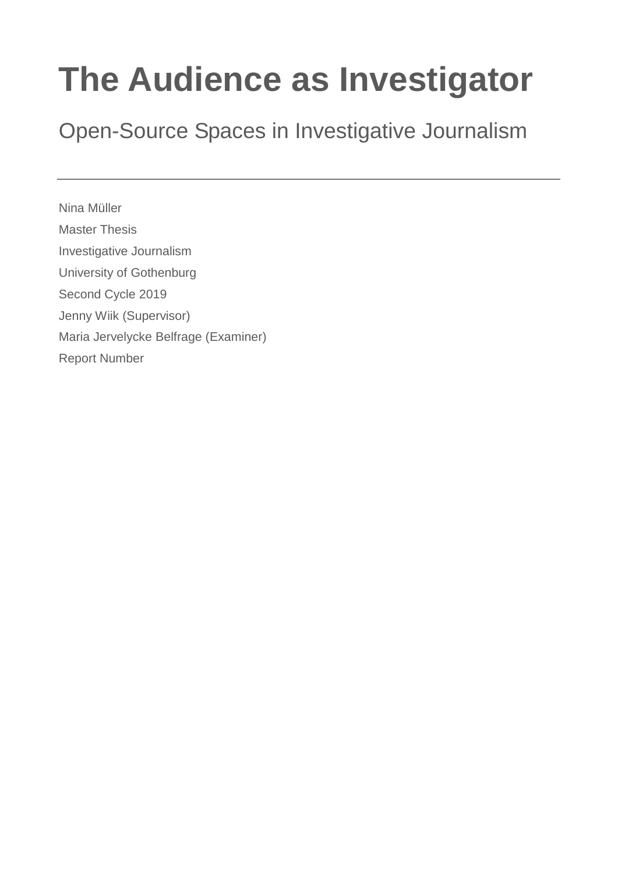# **The Audience as Investigator**

Open-Source Spaces in Investigative Journalism

Nina Müller Master Thesis Investigative Journalism University of Gothenburg Second Cycle 2019 Jenny Wiik (Supervisor) Maria Jervelycke Belfrage (Examiner) Report Number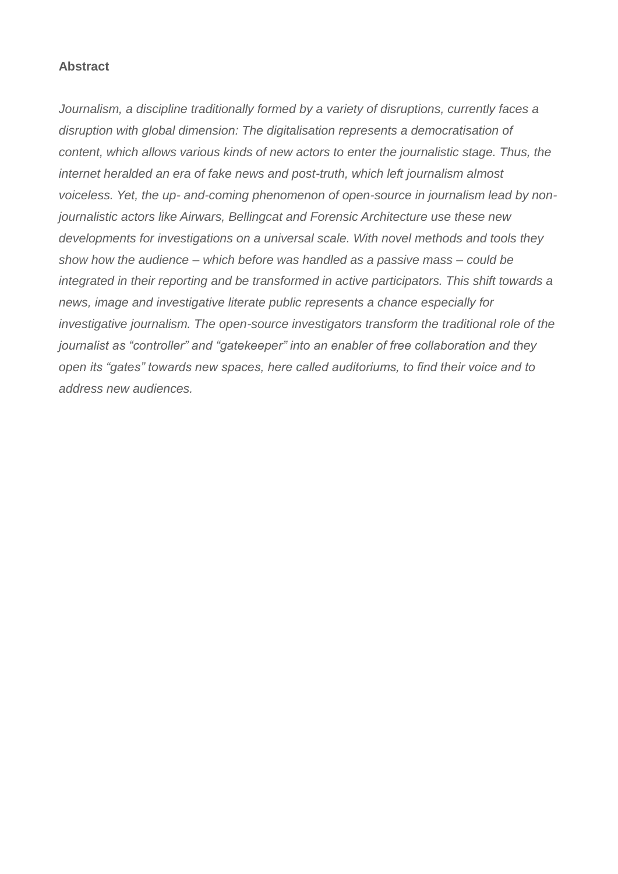#### **Abstract**

*Journalism, a discipline traditionally formed by a variety of disruptions, currently faces a disruption with global dimension: The digitalisation represents a democratisation of content, which allows various kinds of new actors to enter the journalistic stage. Thus, the internet heralded an era of fake news and post-truth, which left journalism almost voiceless. Yet, the up- and-coming phenomenon of open-source in journalism lead by nonjournalistic actors like Airwars, Bellingcat and Forensic Architecture use these new developments for investigations on a universal scale. With novel methods and tools they show how the audience – which before was handled as a passive mass – could be integrated in their reporting and be transformed in active participators. This shift towards a news, image and investigative literate public represents a chance especially for investigative journalism. The open-source investigators transform the traditional role of the journalist as "controller" and "gatekeeper" into an enabler of free collaboration and they open its "gates" towards new spaces, here called auditoriums, to find their voice and to address new audiences.*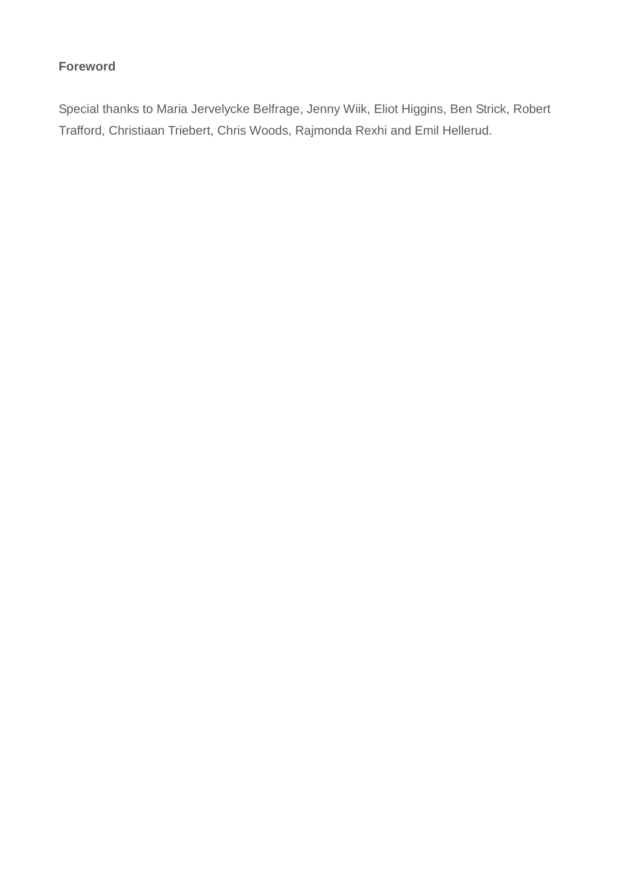### **Foreword**

Special thanks to Maria Jervelycke Belfrage, Jenny Wiik, Eliot Higgins, Ben Strick, Robert Trafford, Christiaan Triebert, Chris Woods, Rajmonda Rexhi and Emil Hellerud.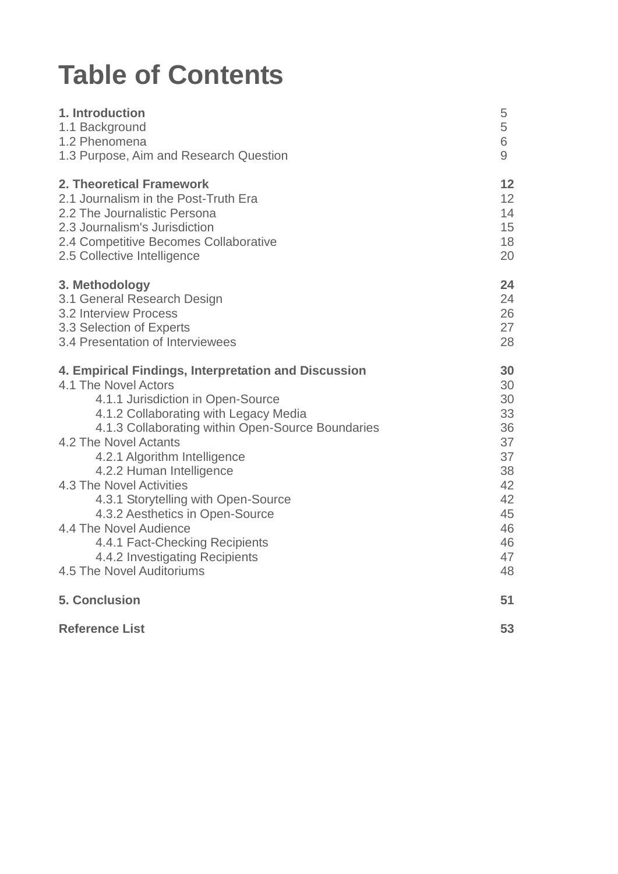## **Table of Contents**

| 1. Introduction                                      | 5              |
|------------------------------------------------------|----------------|
| 1.1 Background                                       | 5              |
| 1.2 Phenomena                                        | 6              |
| 1.3 Purpose, Aim and Research Question               | $\overline{9}$ |
| 2. Theoretical Framework                             | 12             |
| 2.1 Journalism in the Post-Truth Era                 | 12             |
| 2.2 The Journalistic Persona                         | 14             |
| 2.3 Journalism's Jurisdiction                        | 15             |
| 2.4 Competitive Becomes Collaborative                | 18             |
| 2.5 Collective Intelligence                          | 20             |
| 3. Methodology                                       | 24             |
| 3.1 General Research Design                          | 24             |
| 3.2 Interview Process                                | 26             |
| 3.3 Selection of Experts                             | 27             |
| 3.4 Presentation of Interviewees                     | 28             |
| 4. Empirical Findings, Interpretation and Discussion | 30             |
| 4.1 The Novel Actors                                 | 30             |
| 4.1.1 Jurisdiction in Open-Source                    | 30             |
| 4.1.2 Collaborating with Legacy Media                | 33             |
| 4.1.3 Collaborating within Open-Source Boundaries    | 36             |
| 4.2 The Novel Actants                                | 37             |
| 4.2.1 Algorithm Intelligence                         | 37             |
| 4.2.2 Human Intelligence                             | 38             |
| 4.3 The Novel Activities                             | 42             |
| 4.3.1 Storytelling with Open-Source                  | 42             |
| 4.3.2 Aesthetics in Open-Source                      | 45             |
| 4.4 The Novel Audience                               | 46             |
| 4.4.1 Fact-Checking Recipients                       | 46             |
| 4.4.2 Investigating Recipients                       | 47             |
| 4.5 The Novel Auditoriums                            | 48             |
| <b>5. Conclusion</b>                                 | 51             |
| <b>Reference List</b>                                | 53             |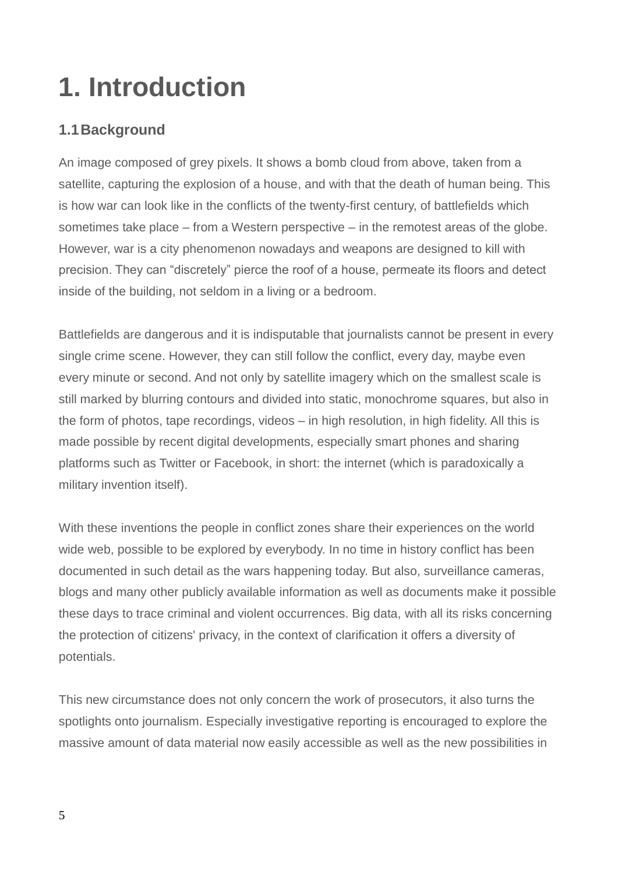# **1. Introduction**

### **1.1Background**

An image composed of grey pixels. It shows a bomb cloud from above, taken from a satellite, capturing the explosion of a house, and with that the death of human being. This is how war can look like in the conflicts of the twenty-first century, of battlefields which sometimes take place – from a Western perspective – in the remotest areas of the globe. However, war is a city phenomenon nowadays and weapons are designed to kill with precision. They can "discretely" pierce the roof of a house, permeate its floors and detect inside of the building, not seldom in a living or a bedroom.

Battlefields are dangerous and it is indisputable that journalists cannot be present in every single crime scene. However, they can still follow the conflict, every day, maybe even every minute or second. And not only by satellite imagery which on the smallest scale is still marked by blurring contours and divided into static, monochrome squares, but also in the form of photos, tape recordings, videos – in high resolution, in high fidelity. All this is made possible by recent digital developments, especially smart phones and sharing platforms such as Twitter or Facebook, in short: the internet (which is paradoxically a military invention itself).

With these inventions the people in conflict zones share their experiences on the world wide web, possible to be explored by everybody. In no time in history conflict has been documented in such detail as the wars happening today. But also, surveillance cameras, blogs and many other publicly available information as well as documents make it possible these days to trace criminal and violent occurrences. Big data, with all its risks concerning the protection of citizens' privacy, in the context of clarification it offers a diversity of potentials.

This new circumstance does not only concern the work of prosecutors, it also turns the spotlights onto journalism. Especially investigative reporting is encouraged to explore the massive amount of data material now easily accessible as well as the new possibilities in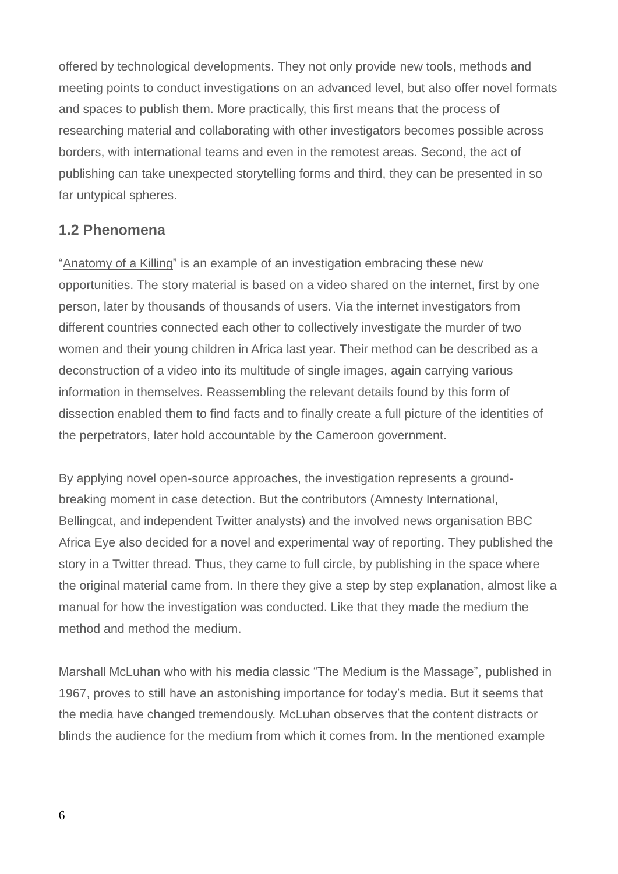offered by technological developments. They not only provide new tools, methods and meeting points to conduct investigations on an advanced level, but also offer novel formats and spaces to publish them. More practically, this first means that the process of researching material and collaborating with other investigators becomes possible across borders, with international teams and even in the remotest areas. Second, the act of publishing can take unexpected storytelling forms and third, they can be presented in so far untypical spheres.

### **1.2 Phenomena**

["Anatomy of a Killing"](https://twitter.com/BBCAfrica/status/1044186344153583616) is an example of an investigation embracing these new opportunities. The story material is based on a video shared on the internet, first by one person, later by thousands of thousands of users. Via the internet investigators from different countries connected each other to collectively investigate the murder of two women and their young children in Africa last year. Their method can be described as a deconstruction of a video into its multitude of single images, again carrying various information in themselves. Reassembling the relevant details found by this form of dissection enabled them to find facts and to finally create a full picture of the identities of the perpetrators, later hold accountable by the Cameroon government.

By applying novel open-source approaches, the investigation represents a groundbreaking moment in case detection. But the contributors (Amnesty International, Bellingcat, and independent Twitter analysts) and the involved news organisation BBC Africa Eye also decided for a novel and experimental way of reporting. They published the story in a Twitter thread. Thus, they came to full circle, by publishing in the space where the original material came from. In there they give a step by step explanation, almost like a manual for how the investigation was conducted. Like that they made the medium the method and method the medium.

Marshall McLuhan who with his media classic "The Medium is the Massage", published in 1967, proves to still have an astonishing importance for today's media. But it seems that the media have changed tremendously. McLuhan observes that the content distracts or blinds the audience for the medium from which it comes from. In the mentioned example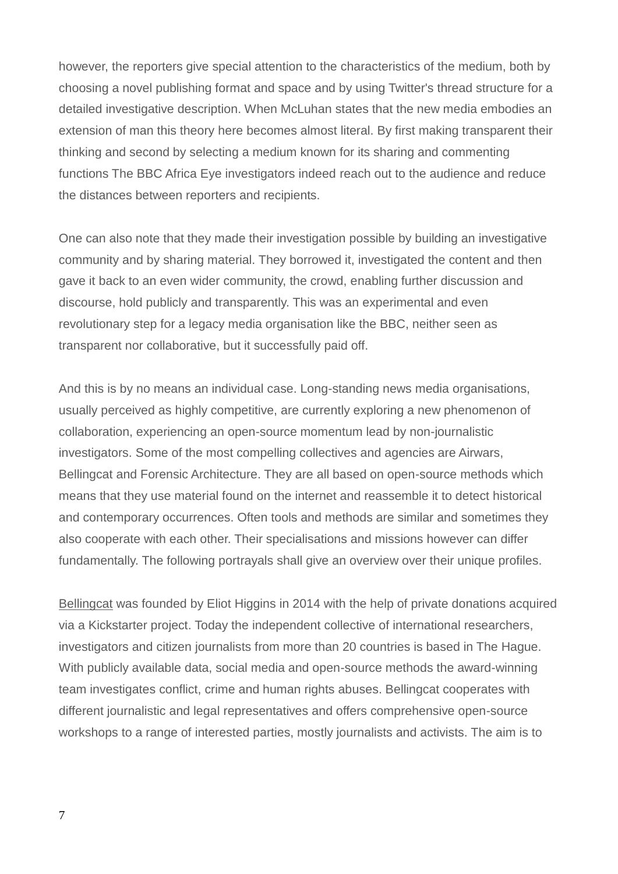however, the reporters give special attention to the characteristics of the medium, both by choosing a novel publishing format and space and by using Twitter's thread structure for a detailed investigative description. When McLuhan states that the new media embodies an extension of man this theory here becomes almost literal. By first making transparent their thinking and second by selecting a medium known for its sharing and commenting functions The BBC Africa Eye investigators indeed reach out to the audience and reduce the distances between reporters and recipients.

One can also note that they made their investigation possible by building an investigative community and by sharing material. They borrowed it, investigated the content and then gave it back to an even wider community, the crowd, enabling further discussion and discourse, hold publicly and transparently. This was an experimental and even revolutionary step for a legacy media organisation like the BBC, neither seen as transparent nor collaborative, but it successfully paid off.

And this is by no means an individual case. Long-standing news media organisations, usually perceived as highly competitive, are currently exploring a new phenomenon of collaboration, experiencing an open-source momentum lead by non-journalistic investigators. Some of the most compelling collectives and agencies are Airwars, Bellingcat and Forensic Architecture. They are all based on open-source methods which means that they use material found on the internet and reassemble it to detect historical and contemporary occurrences. Often tools and methods are similar and sometimes they also cooperate with each other. Their specialisations and missions however can differ fundamentally. The following portrayals shall give an overview over their unique profiles.

[Bellingcat](https://www.bellingcat.com/) was founded by Eliot Higgins in 2014 with the help of private donations acquired via a Kickstarter project. Today the independent collective of international researchers, investigators and citizen journalists from more than 20 countries is based in The Hague. With publicly available data, social media and open-source methods the award-winning team investigates conflict, crime and human rights abuses. Bellingcat cooperates with different journalistic and legal representatives and offers comprehensive open-source workshops to a range of interested parties, mostly journalists and activists. The aim is to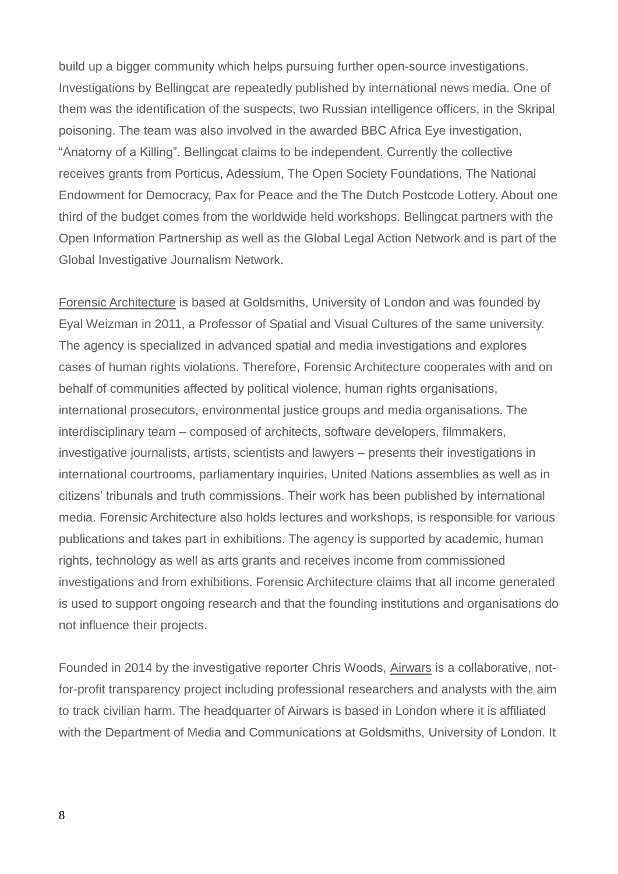build up a bigger community which helps pursuing further open-source investigations. Investigations by Bellingcat are repeatedly published by international news media. One of them was the identification of the suspects, two Russian intelligence officers, in the Skripal poisoning. The team was also involved in the awarded BBC Africa Eye investigation, "Anatomy of a Killing". Bellingcat claims to be independent. Currently the collective receives grants from Porticus, Adessium, The Open Society Foundations, The National Endowment for Democracy, Pax for Peace and the The Dutch Postcode Lottery. About one third of the budget comes from the worldwide held workshops. Bellingcat partners with the Open Information Partnership as well as the Global Legal Action Network and is part of the Global Investigative Journalism Network.

[Forensic Architecture](https://forensic-architecture.org/) is based at Goldsmiths, University of London and was founded by Eyal Weizman in 2011, a Professor of Spatial and Visual Cultures of the same university. The agency is specialized in advanced spatial and media investigations and explores cases of human rights violations. Therefore, Forensic Architecture cooperates with and on behalf of communities affected by political violence, human rights organisations, international prosecutors, environmental justice groups and media organisations. The interdisciplinary team – composed of architects, software developers, filmmakers, investigative journalists, artists, scientists and lawyers – presents their investigations in international courtrooms, parliamentary inquiries, United Nations assemblies as well as in citizens' tribunals and truth commissions. Their work has been published by international media. Forensic Architecture also holds lectures and workshops, is responsible for various publications and takes part in exhibitions. The agency is supported by academic, human rights, technology as well as arts grants and receives income from commissioned investigations and from exhibitions. Forensic Architecture claims that all income generated is used to support ongoing research and that the founding institutions and organisations do not influence their projects.

Founded in 2014 by the investigative reporter Chris Woods, [Airwars](https://airwars.org/) is a collaborative, notfor-profit transparency project including professional researchers and analysts with the aim to track civilian harm. The headquarter of Airwars is based in London where it is affiliated with the Department of Media and Communications at Goldsmiths, University of London. It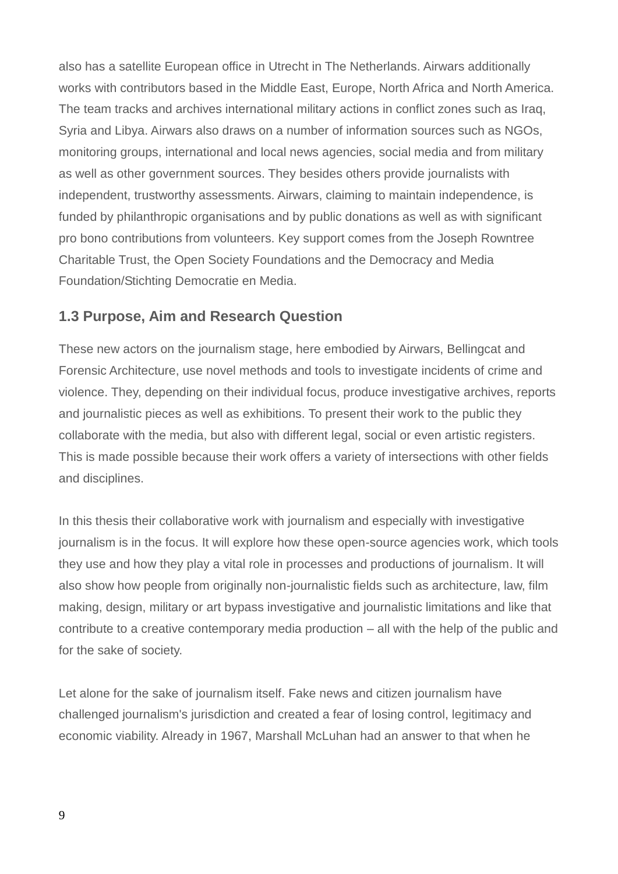also has a satellite European office in Utrecht in The Netherlands. Airwars additionally works with contributors based in the Middle East, Europe, North Africa and North America. The team tracks and archives international military actions in conflict zones such as Iraq, Syria and Libya. Airwars also draws on a number of information sources such as NGOs, monitoring groups, international and local news agencies, social media and from military as well as other government sources. They besides others provide journalists with independent, trustworthy assessments. Airwars, claiming to maintain independence, is funded by philanthropic organisations and by public donations as well as with significant pro bono contributions from volunteers. Key support comes from the Joseph Rowntree Charitable Trust, the Open Society Foundations and the Democracy and Media Foundation/Stichting Democratie en Media.

### **1.3 Purpose, Aim and Research Question**

These new actors on the journalism stage, here embodied by Airwars, Bellingcat and Forensic Architecture, use novel methods and tools to investigate incidents of crime and violence. They, depending on their individual focus, produce investigative archives, reports and journalistic pieces as well as exhibitions. To present their work to the public they collaborate with the media, but also with different legal, social or even artistic registers. This is made possible because their work offers a variety of intersections with other fields and disciplines.

In this thesis their collaborative work with journalism and especially with investigative journalism is in the focus. It will explore how these open-source agencies work, which tools they use and how they play a vital role in processes and productions of journalism. It will also show how people from originally non-journalistic fields such as architecture, law, film making, design, military or art bypass investigative and journalistic limitations and like that contribute to a creative contemporary media production – all with the help of the public and for the sake of society.

Let alone for the sake of journalism itself. Fake news and citizen journalism have challenged journalism's jurisdiction and created a fear of losing control, legitimacy and economic viability. Already in 1967, Marshall McLuhan had an answer to that when he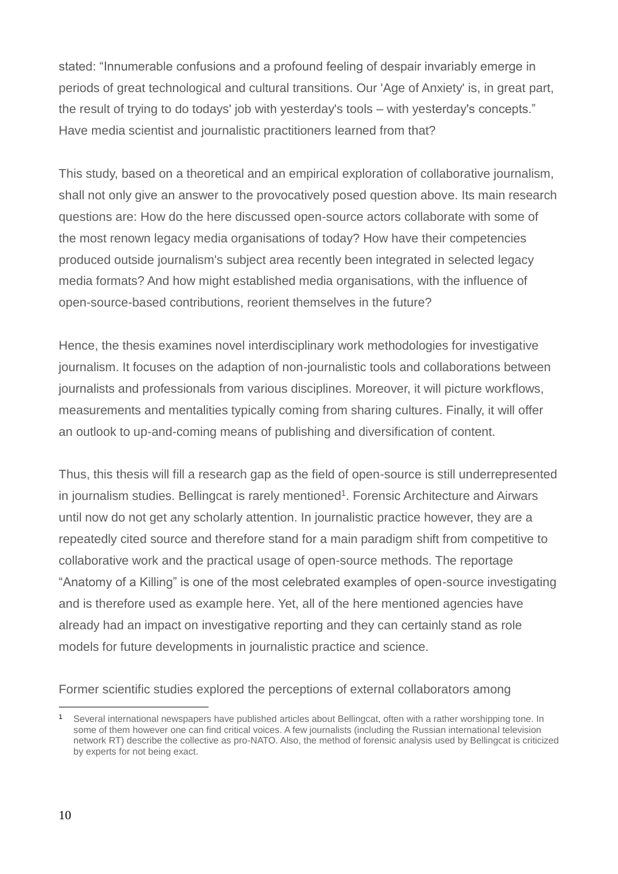stated: "Innumerable confusions and a profound feeling of despair invariably emerge in periods of great technological and cultural transitions. Our 'Age of Anxiety' is, in great part, the result of trying to do todays' job with yesterday's tools – with yesterday's concepts." Have media scientist and journalistic practitioners learned from that?

This study, based on a theoretical and an empirical exploration of collaborative journalism, shall not only give an answer to the provocatively posed question above. Its main research questions are: How do the here discussed open-source actors collaborate with some of the most renown legacy media organisations of today? How have their competencies produced outside journalism's subject area recently been integrated in selected legacy media formats? And how might established media organisations, with the influence of open-source-based contributions, reorient themselves in the future?

Hence, the thesis examines novel interdisciplinary work methodologies for investigative journalism. It focuses on the adaption of non-journalistic tools and collaborations between journalists and professionals from various disciplines. Moreover, it will picture workflows, measurements and mentalities typically coming from sharing cultures. Finally, it will offer an outlook to up-and-coming means of publishing and diversification of content.

Thus, this thesis will fill a research gap as the field of open-source is still underrepresented in journalism studies. Bellingcat is rarely mentioned<sup>1</sup>. Forensic Architecture and Airwars until now do not get any scholarly attention. In journalistic practice however, they are a repeatedly cited source and therefore stand for a main paradigm shift from competitive to collaborative work and the practical usage of open-source methods. The reportage "Anatomy of a Killing" is one of the most celebrated examples of open-source investigating and is therefore used as example here. Yet, all of the here mentioned agencies have already had an impact on investigative reporting and they can certainly stand as role models for future developments in journalistic practice and science.

Former scientific studies explored the perceptions of external collaborators among

<sup>1</sup> Several international newspapers have published articles about Bellingcat, often with a rather worshipping tone. In some of them however one can find critical voices. A few journalists (including the Russian international television network RT) describe the collective as pro-NATO. Also, the method of forensic analysis used by Bellingcat is criticized by experts for not being exact.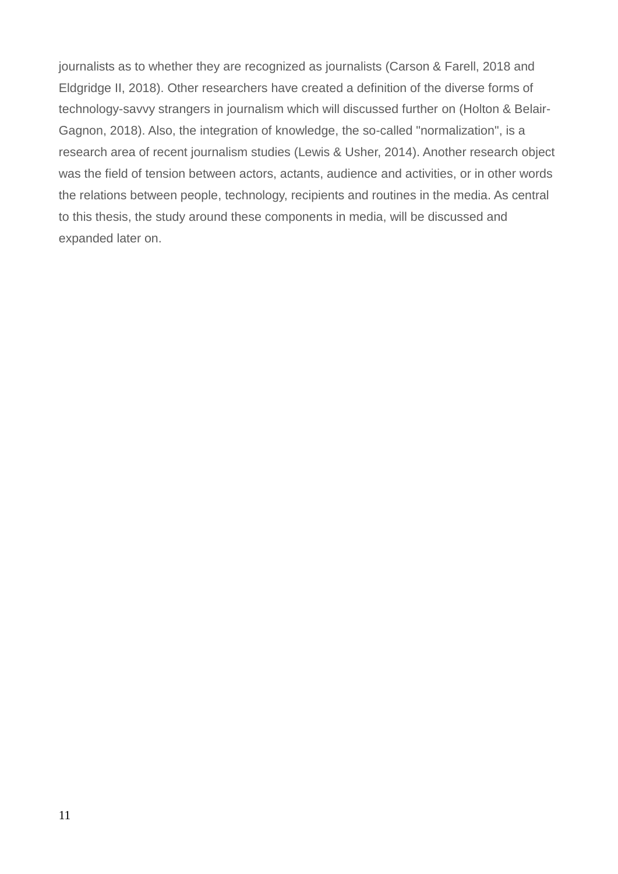journalists as to whether they are recognized as journalists (Carson & Farell, 2018 and Eldgridge II, 2018). Other researchers have created a definition of the diverse forms of technology-savvy strangers in journalism which will discussed further on (Holton & Belair-Gagnon, 2018). Also, the integration of knowledge, the so-called "normalization", is a research area of recent journalism studies (Lewis & Usher, 2014). Another research object was the field of tension between actors, actants, audience and activities, or in other words the relations between people, technology, recipients and routines in the media. As central to this thesis, the study around these components in media, will be discussed and expanded later on.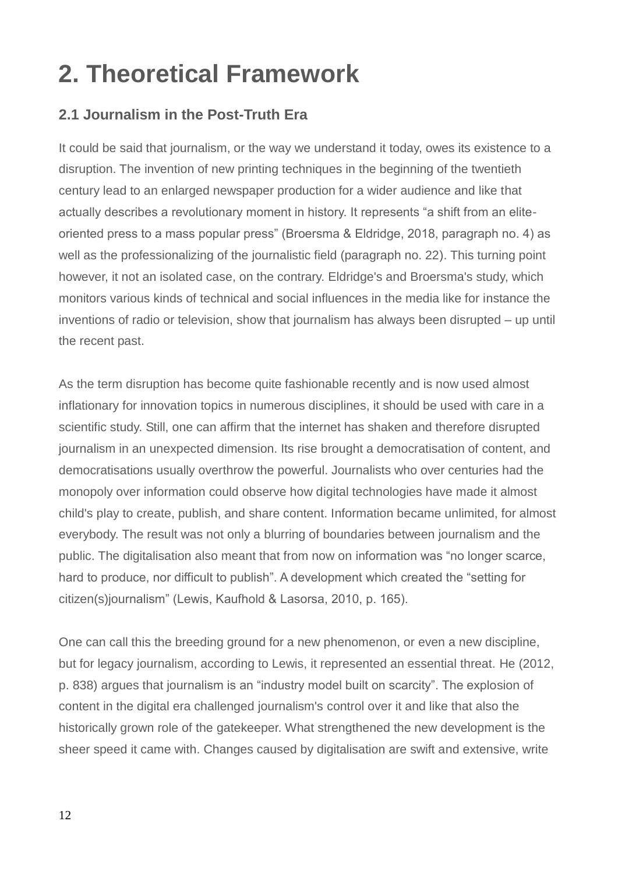### **2. Theoretical Framework**

### **2.1 Journalism in the Post-Truth Era**

It could be said that journalism, or the way we understand it today, owes its existence to a disruption. The invention of new printing techniques in the beginning of the twentieth century lead to an enlarged newspaper production for a wider audience and like that actually describes a revolutionary moment in history. It represents "a shift from an eliteoriented press to a mass popular press" (Broersma & Eldridge, 2018, paragraph no. 4) as well as the professionalizing of the journalistic field (paragraph no. 22). This turning point however, it not an isolated case, on the contrary. Eldridge's and Broersma's study, which monitors various kinds of technical and social influences in the media like for instance the inventions of radio or television, show that journalism has always been disrupted – up until the recent past.

As the term disruption has become quite fashionable recently and is now used almost inflationary for innovation topics in numerous disciplines, it should be used with care in a scientific study. Still, one can affirm that the internet has shaken and therefore disrupted journalism in an unexpected dimension. Its rise brought a democratisation of content, and democratisations usually overthrow the powerful. Journalists who over centuries had the monopoly over information could observe how digital technologies have made it almost child's play to create, publish, and share content. Information became unlimited, for almost everybody. The result was not only a blurring of boundaries between journalism and the public. The digitalisation also meant that from now on information was "no longer scarce, hard to produce, nor difficult to publish". A development which created the "setting for citizen(s)journalism" (Lewis, Kaufhold & Lasorsa, 2010, p. 165).

One can call this the breeding ground for a new phenomenon, or even a new discipline, but for legacy journalism, according to Lewis, it represented an essential threat. He (2012, p. 838) argues that journalism is an "industry model built on scarcity". The explosion of content in the digital era challenged journalism's control over it and like that also the historically grown role of the gatekeeper. What strengthened the new development is the sheer speed it came with. Changes caused by digitalisation are swift and extensive, write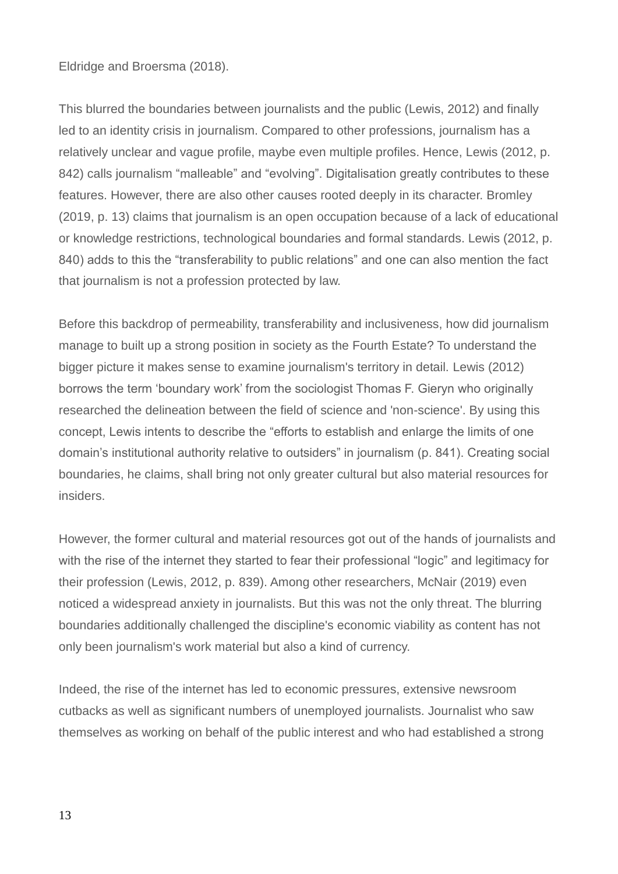#### Eldridge and Broersma (2018).

This blurred the boundaries between journalists and the public (Lewis, 2012) and finally led to an identity crisis in journalism. Compared to other professions, journalism has a relatively unclear and vague profile, maybe even multiple profiles. Hence, Lewis (2012, p. 842) calls journalism "malleable" and "evolving". Digitalisation greatly contributes to these features. However, there are also other causes rooted deeply in its character. Bromley (2019, p. 13) claims that journalism is an open occupation because of a lack of educational or knowledge restrictions, technological boundaries and formal standards. Lewis (2012, p. 840) adds to this the "transferability to public relations" and one can also mention the fact that journalism is not a profession protected by law.

Before this backdrop of permeability, transferability and inclusiveness, how did journalism manage to built up a strong position in society as the Fourth Estate? To understand the bigger picture it makes sense to examine journalism's territory in detail. Lewis (2012) borrows the term 'boundary work' from the sociologist Thomas F. Gieryn who originally researched the delineation between the field of science and 'non-science'. By using this concept, Lewis intents to describe the "efforts to establish and enlarge the limits of one domain's institutional authority relative to outsiders" in journalism (p. 841). Creating social boundaries, he claims, shall bring not only greater cultural but also material resources for insiders.

However, the former cultural and material resources got out of the hands of journalists and with the rise of the internet they started to fear their professional "logic" and legitimacy for their profession (Lewis, 2012, p. 839). Among other researchers, McNair (2019) even noticed a widespread anxiety in journalists. But this was not the only threat. The blurring boundaries additionally challenged the discipline's economic viability as content has not only been journalism's work material but also a kind of currency.

Indeed, the rise of the internet has led to economic pressures, extensive newsroom cutbacks as well as significant numbers of unemployed journalists. Journalist who saw themselves as working on behalf of the public interest and who had established a strong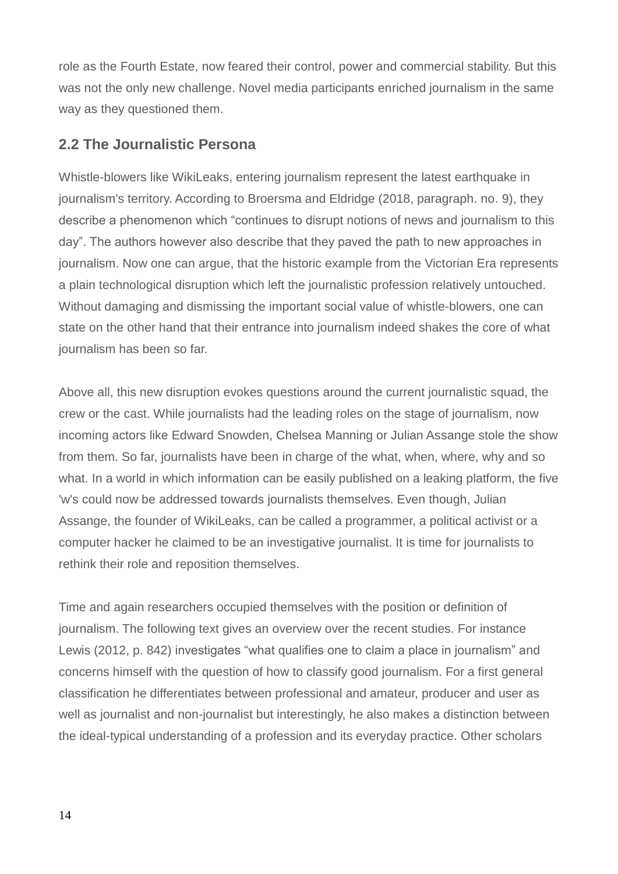role as the Fourth Estate, now feared their control, power and commercial stability. But this was not the only new challenge. Novel media participants enriched journalism in the same way as they questioned them.

### **2.2 The Journalistic Persona**

Whistle-blowers like WikiLeaks, entering journalism represent the latest earthquake in journalism's territory. According to Broersma and Eldridge (2018, paragraph. no. 9), they describe a phenomenon which "continues to disrupt notions of news and journalism to this day". The authors however also describe that they paved the path to new approaches in journalism. Now one can argue, that the historic example from the Victorian Era represents a plain technological disruption which left the journalistic profession relatively untouched. Without damaging and dismissing the important social value of whistle-blowers, one can state on the other hand that their entrance into journalism indeed shakes the core of what journalism has been so far.

Above all, this new disruption evokes questions around the current journalistic squad, the crew or the cast. While journalists had the leading roles on the stage of journalism, now incoming actors like Edward Snowden, Chelsea Manning or Julian Assange stole the show from them. So far, journalists have been in charge of the what, when, where, why and so what. In a world in which information can be easily published on a leaking platform, the five 'w's could now be addressed towards journalists themselves. Even though, Julian Assange, the founder of WikiLeaks, can be called a programmer, a political activist or a computer hacker he claimed to be an investigative journalist. It is time for journalists to rethink their role and reposition themselves.

Time and again researchers occupied themselves with the position or definition of journalism. The following text gives an overview over the recent studies. For instance Lewis (2012, p. 842) investigates "what qualifies one to claim a place in journalism" and concerns himself with the question of how to classify good journalism. For a first general classification he differentiates between professional and amateur, producer and user as well as journalist and non-journalist but interestingly, he also makes a distinction between the ideal-typical understanding of a profession and its everyday practice. Other scholars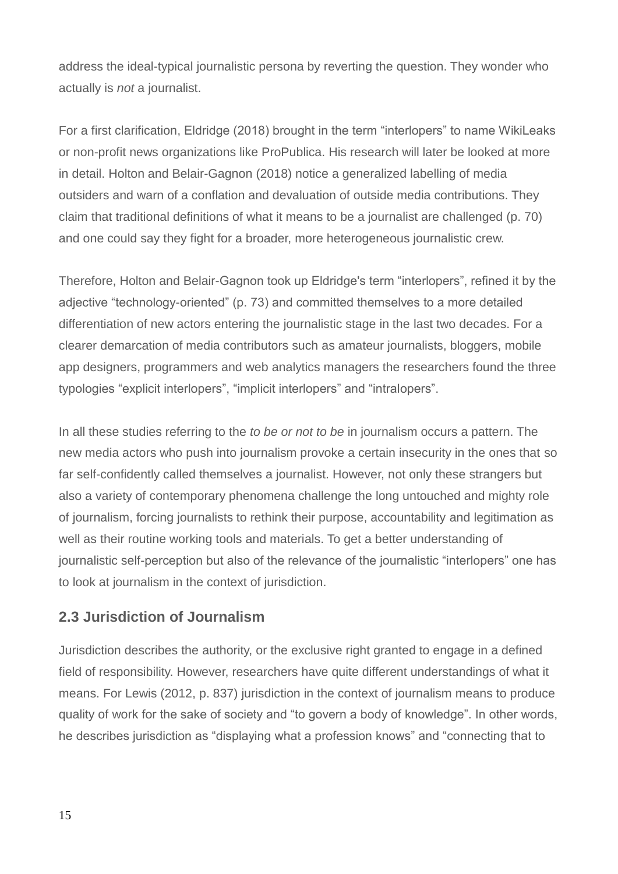address the ideal-typical journalistic persona by reverting the question. They wonder who actually is *not* a journalist.

For a first clarification, Eldridge (2018) brought in the term "interlopers" to name WikiLeaks or non-profit news organizations like ProPublica. His research will later be looked at more in detail. Holton and Belair-Gagnon (2018) notice a generalized labelling of media outsiders and warn of a conflation and devaluation of outside media contributions. They claim that traditional definitions of what it means to be a journalist are challenged (p. 70) and one could say they fight for a broader, more heterogeneous journalistic crew.

Therefore, Holton and Belair-Gagnon took up Eldridge's term "interlopers", refined it by the adjective "technology-oriented" (p. 73) and committed themselves to a more detailed differentiation of new actors entering the journalistic stage in the last two decades. For a clearer demarcation of media contributors such as amateur journalists, bloggers, mobile app designers, programmers and web analytics managers the researchers found the three typologies "explicit interlopers", "implicit interlopers" and "intralopers".

In all these studies referring to the *to be or not to be* in journalism occurs a pattern. The new media actors who push into journalism provoke a certain insecurity in the ones that so far self-confidently called themselves a journalist. However, not only these strangers but also a variety of contemporary phenomena challenge the long untouched and mighty role of journalism, forcing journalists to rethink their purpose, accountability and legitimation as well as their routine working tools and materials. To get a better understanding of journalistic self-perception but also of the relevance of the journalistic "interlopers" one has to look at journalism in the context of jurisdiction.

### **2.3 Jurisdiction of Journalism**

Jurisdiction describes the authority, or the exclusive right granted to engage in a defined field of responsibility. However, researchers have quite different understandings of what it means. For Lewis (2012, p. 837) jurisdiction in the context of journalism means to produce quality of work for the sake of society and "to govern a body of knowledge". In other words, he describes jurisdiction as "displaying what a profession knows" and "connecting that to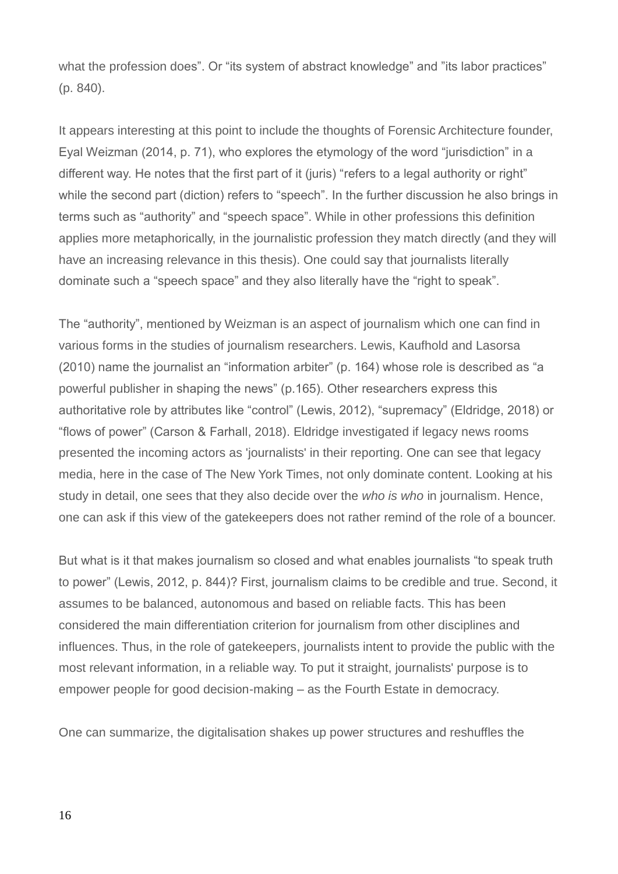what the profession does". Or "its system of abstract knowledge" and "its labor practices" (p. 840).

It appears interesting at this point to include the thoughts of Forensic Architecture founder, Eyal Weizman (2014, p. 71), who explores the etymology of the word "jurisdiction" in a different way. He notes that the first part of it (juris) "refers to a legal authority or right" while the second part (diction) refers to "speech". In the further discussion he also brings in terms such as "authority" and "speech space". While in other professions this definition applies more metaphorically, in the journalistic profession they match directly (and they will have an increasing relevance in this thesis). One could say that journalists literally dominate such a "speech space" and they also literally have the "right to speak".

The "authority", mentioned by Weizman is an aspect of journalism which one can find in various forms in the studies of journalism researchers. Lewis, Kaufhold and Lasorsa (2010) name the journalist an "information arbiter" (p. 164) whose role is described as "a powerful publisher in shaping the news" (p.165). Other researchers express this authoritative role by attributes like "control" (Lewis, 2012), "supremacy" (Eldridge, 2018) or "flows of power" (Carson & Farhall, 2018). Eldridge investigated if legacy news rooms presented the incoming actors as 'journalists' in their reporting. One can see that legacy media, here in the case of The New York Times, not only dominate content. Looking at his study in detail, one sees that they also decide over the *who is who* in journalism. Hence, one can ask if this view of the gatekeepers does not rather remind of the role of a bouncer.

But what is it that makes journalism so closed and what enables journalists "to speak truth to power" (Lewis, 2012, p. 844)? First, journalism claims to be credible and true. Second, it assumes to be balanced, autonomous and based on reliable facts. This has been considered the main differentiation criterion for journalism from other disciplines and influences. Thus, in the role of gatekeepers, journalists intent to provide the public with the most relevant information, in a reliable way. To put it straight, journalists' purpose is to empower people for good decision-making – as the Fourth Estate in democracy.

One can summarize, the digitalisation shakes up power structures and reshuffles the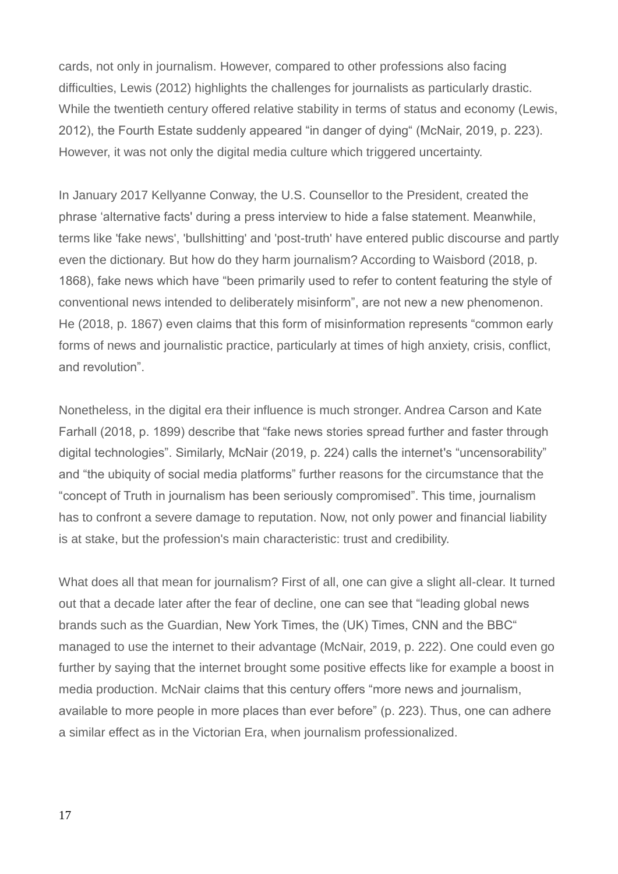cards, not only in journalism. However, compared to other professions also facing difficulties, Lewis (2012) highlights the challenges for journalists as particularly drastic. While the twentieth century offered relative stability in terms of status and economy (Lewis, 2012), the Fourth Estate suddenly appeared "in danger of dying" (McNair, 2019, p. 223). However, it was not only the digital media culture which triggered uncertainty.

In January 2017 Kellyanne Conway, the U.S. Counsellor to the President, created the phrase 'alternative facts' during a press interview to hide a false statement. Meanwhile, terms like 'fake news', 'bullshitting' and 'post-truth' have entered public discourse and partly even the dictionary. But how do they harm journalism? According to Waisbord (2018, p. 1868), fake news which have "been primarily used to refer to content featuring the style of conventional news intended to deliberately misinform", are not new a new phenomenon. He (2018, p. 1867) even claims that this form of misinformation represents "common early forms of news and journalistic practice, particularly at times of high anxiety, crisis, conflict, and revolution".

Nonetheless, in the digital era their influence is much stronger. Andrea Carson and Kate Farhall (2018, p. 1899) describe that "fake news stories spread further and faster through digital technologies". Similarly, McNair (2019, p. 224) calls the internet's "uncensorability" and "the ubiquity of social media platforms" further reasons for the circumstance that the "concept of Truth in journalism has been seriously compromised". This time, journalism has to confront a severe damage to reputation. Now, not only power and financial liability is at stake, but the profession's main characteristic: trust and credibility.

What does all that mean for journalism? First of all, one can give a slight all-clear. It turned out that a decade later after the fear of decline, one can see that "leading global news brands such as the Guardian, New York Times, the (UK) Times, CNN and the BBC" managed to use the internet to their advantage (McNair, 2019, p. 222). One could even go further by saying that the internet brought some positive effects like for example a boost in media production. McNair claims that this century offers "more news and journalism, available to more people in more places than ever before" (p. 223). Thus, one can adhere a similar effect as in the Victorian Era, when journalism professionalized.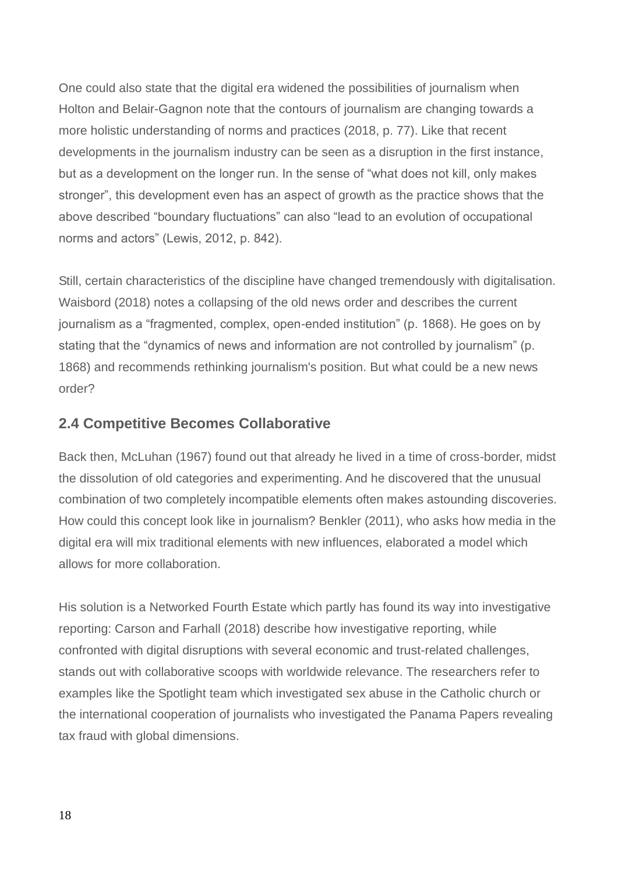One could also state that the digital era widened the possibilities of journalism when Holton and Belair-Gagnon note that the contours of journalism are changing towards a more holistic understanding of norms and practices (2018, p. 77). Like that recent developments in the journalism industry can be seen as a disruption in the first instance, but as a development on the longer run. In the sense of "what does not kill, only makes stronger", this development even has an aspect of growth as the practice shows that the above described "boundary fluctuations" can also "lead to an evolution of occupational norms and actors" (Lewis, 2012, p. 842).

Still, certain characteristics of the discipline have changed tremendously with digitalisation. Waisbord (2018) notes a collapsing of the old news order and describes the current journalism as a "fragmented, complex, open-ended institution" (p. 1868). He goes on by stating that the "dynamics of news and information are not controlled by journalism" (p. 1868) and recommends rethinking journalism's position. But what could be a new news order?

### **2.4 Competitive Becomes Collaborative**

Back then, McLuhan (1967) found out that already he lived in a time of cross-border, midst the dissolution of old categories and experimenting. And he discovered that the unusual combination of two completely incompatible elements often makes astounding discoveries. How could this concept look like in journalism? Benkler (2011), who asks how media in the digital era will mix traditional elements with new influences, elaborated a model which allows for more collaboration.

His solution is a Networked Fourth Estate which partly has found its way into investigative reporting: Carson and Farhall (2018) describe how investigative reporting, while confronted with digital disruptions with several economic and trust-related challenges, stands out with collaborative scoops with worldwide relevance. The researchers refer to examples like the Spotlight team which investigated sex abuse in the Catholic church or the international cooperation of journalists who investigated the Panama Papers revealing tax fraud with global dimensions.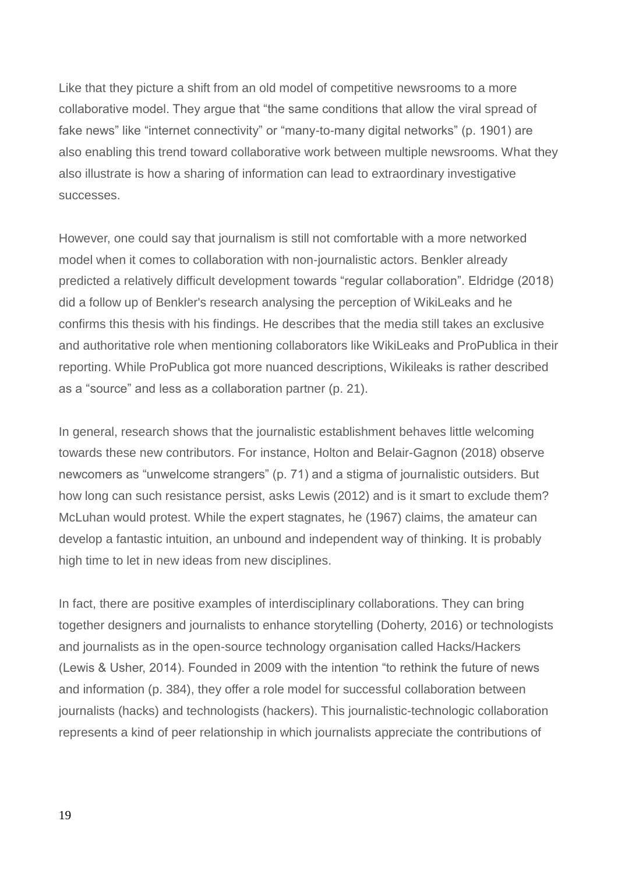Like that they picture a shift from an old model of competitive newsrooms to a more collaborative model. They argue that "the same conditions that allow the viral spread of fake news" like "internet connectivity" or "many-to-many digital networks" (p. 1901) are also enabling this trend toward collaborative work between multiple newsrooms. What they also illustrate is how a sharing of information can lead to extraordinary investigative successes.

However, one could say that journalism is still not comfortable with a more networked model when it comes to collaboration with non-journalistic actors. Benkler already predicted a relatively difficult development towards "regular collaboration". Eldridge (2018) did a follow up of Benkler's research analysing the perception of WikiLeaks and he confirms this thesis with his findings. He describes that the media still takes an exclusive and authoritative role when mentioning collaborators like WikiLeaks and ProPublica in their reporting. While ProPublica got more nuanced descriptions, Wikileaks is rather described as a "source" and less as a collaboration partner (p. 21).

In general, research shows that the journalistic establishment behaves little welcoming towards these new contributors. For instance, Holton and Belair-Gagnon (2018) observe newcomers as "unwelcome strangers" (p. 71) and a stigma of journalistic outsiders. But how long can such resistance persist, asks Lewis (2012) and is it smart to exclude them? McLuhan would protest. While the expert stagnates, he (1967) claims, the amateur can develop a fantastic intuition, an unbound and independent way of thinking. It is probably high time to let in new ideas from new disciplines.

In fact, there are positive examples of interdisciplinary collaborations. They can bring together designers and journalists to enhance storytelling (Doherty, 2016) or technologists and journalists as in the open-source technology organisation called Hacks/Hackers (Lewis & Usher, 2014). Founded in 2009 with the intention "to rethink the future of news and information (p. 384), they offer a role model for successful collaboration between journalists (hacks) and technologists (hackers). This journalistic-technologic collaboration represents a kind of peer relationship in which journalists appreciate the contributions of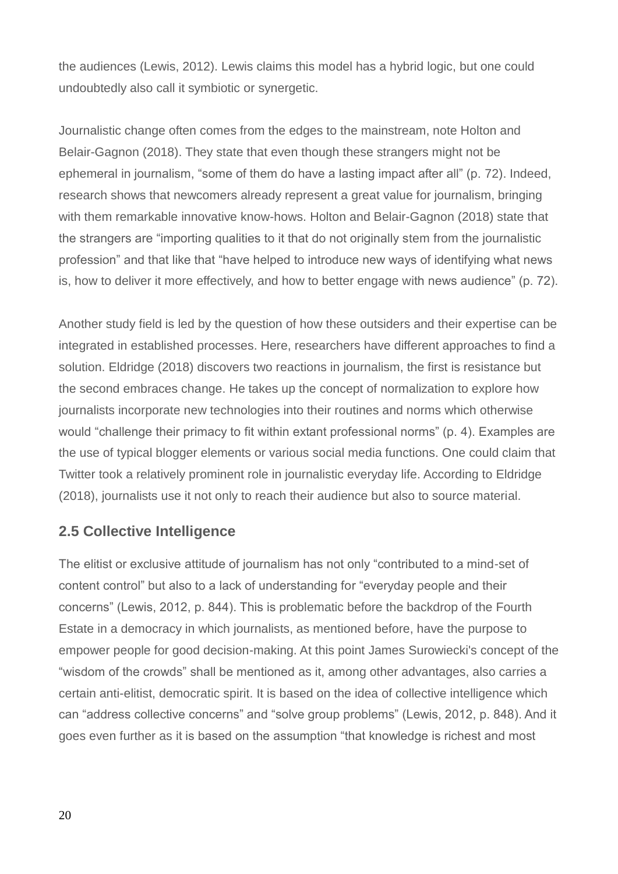the audiences (Lewis, 2012). Lewis claims this model has a hybrid logic, but one could undoubtedly also call it symbiotic or synergetic.

Journalistic change often comes from the edges to the mainstream, note Holton and Belair-Gagnon (2018). They state that even though these strangers might not be ephemeral in journalism, "some of them do have a lasting impact after all" (p. 72). Indeed, research shows that newcomers already represent a great value for journalism, bringing with them remarkable innovative know-hows. Holton and Belair-Gagnon (2018) state that the strangers are "importing qualities to it that do not originally stem from the journalistic profession" and that like that "have helped to introduce new ways of identifying what news is, how to deliver it more effectively, and how to better engage with news audience" (p. 72).

Another study field is led by the question of how these outsiders and their expertise can be integrated in established processes. Here, researchers have different approaches to find a solution. Eldridge (2018) discovers two reactions in journalism, the first is resistance but the second embraces change. He takes up the concept of normalization to explore how journalists incorporate new technologies into their routines and norms which otherwise would "challenge their primacy to fit within extant professional norms" (p. 4). Examples are the use of typical blogger elements or various social media functions. One could claim that Twitter took a relatively prominent role in journalistic everyday life. According to Eldridge (2018), journalists use it not only to reach their audience but also to source material.

### **2.5 Collective Intelligence**

The elitist or exclusive attitude of journalism has not only "contributed to a mind-set of content control" but also to a lack of understanding for "everyday people and their concerns" (Lewis, 2012, p. 844). This is problematic before the backdrop of the Fourth Estate in a democracy in which journalists, as mentioned before, have the purpose to empower people for good decision-making. At this point James Surowiecki's concept of the "wisdom of the crowds" shall be mentioned as it, among other advantages, also carries a certain anti-elitist, democratic spirit. It is based on the idea of collective intelligence which can "address collective concerns" and "solve group problems" (Lewis, 2012, p. 848). And it goes even further as it is based on the assumption "that knowledge is richest and most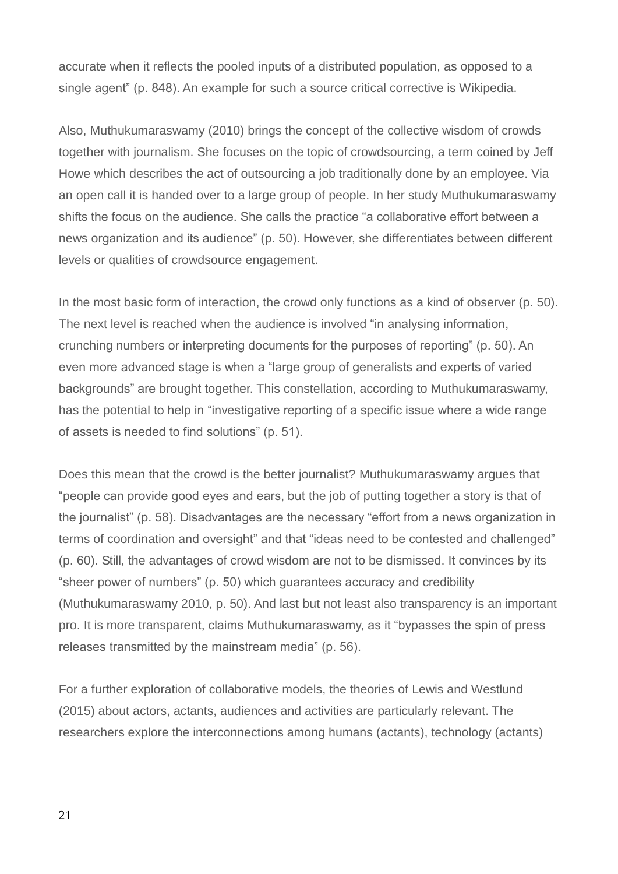accurate when it reflects the pooled inputs of a distributed population, as opposed to a single agent" (p. 848). An example for such a source critical corrective is Wikipedia.

Also, Muthukumaraswamy (2010) brings the concept of the collective wisdom of crowds together with journalism. She focuses on the topic of crowdsourcing, a term coined by Jeff Howe which describes the act of outsourcing a job traditionally done by an employee. Via an open call it is handed over to a large group of people. In her study Muthukumaraswamy shifts the focus on the audience. She calls the practice "a collaborative effort between a news organization and its audience" (p. 50). However, she differentiates between different levels or qualities of crowdsource engagement.

In the most basic form of interaction, the crowd only functions as a kind of observer (p. 50). The next level is reached when the audience is involved "in analysing information, crunching numbers or interpreting documents for the purposes of reporting" (p. 50). An even more advanced stage is when a "large group of generalists and experts of varied backgrounds" are brought together. This constellation, according to Muthukumaraswamy, has the potential to help in "investigative reporting of a specific issue where a wide range of assets is needed to find solutions" (p. 51).

Does this mean that the crowd is the better journalist? Muthukumaraswamy argues that "people can provide good eyes and ears, but the job of putting together a story is that of the journalist" (p. 58). Disadvantages are the necessary "effort from a news organization in terms of coordination and oversight" and that "ideas need to be contested and challenged" (p. 60). Still, the advantages of crowd wisdom are not to be dismissed. It convinces by its "sheer power of numbers" (p. 50) which guarantees accuracy and credibility (Muthukumaraswamy 2010, p. 50). And last but not least also transparency is an important pro. It is more transparent, claims Muthukumaraswamy, as it "bypasses the spin of press releases transmitted by the mainstream media" (p. 56).

For a further exploration of collaborative models, the theories of Lewis and Westlund (2015) about actors, actants, audiences and activities are particularly relevant. The researchers explore the interconnections among humans (actants), technology (actants)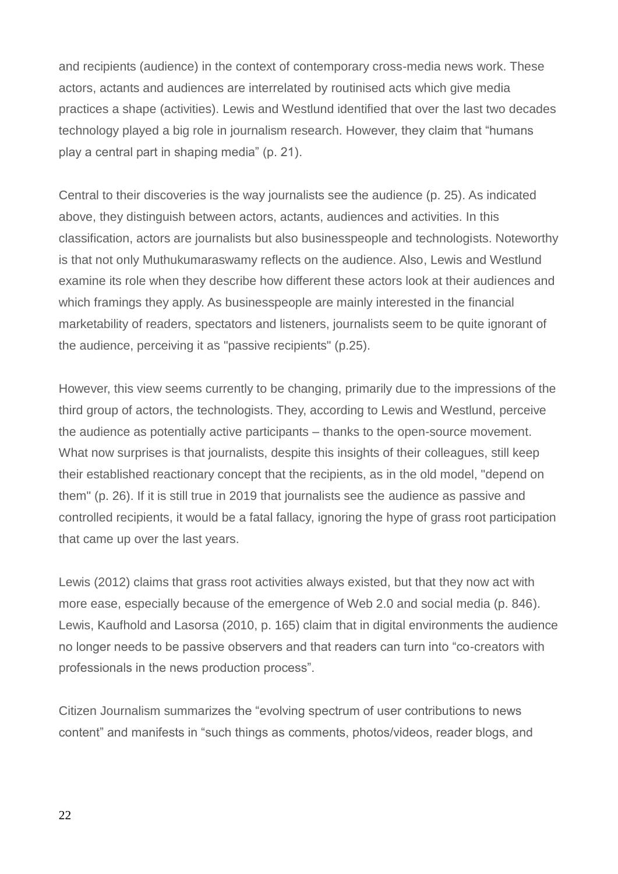and recipients (audience) in the context of contemporary cross-media news work. These actors, actants and audiences are interrelated by routinised acts which give media practices a shape (activities). Lewis and Westlund identified that over the last two decades technology played a big role in journalism research. However, they claim that "humans play a central part in shaping media" (p. 21).

Central to their discoveries is the way journalists see the audience (p. 25). As indicated above, they distinguish between actors, actants, audiences and activities. In this classification, actors are journalists but also businesspeople and technologists. Noteworthy is that not only Muthukumaraswamy reflects on the audience. Also, Lewis and Westlund examine its role when they describe how different these actors look at their audiences and which framings they apply. As businesspeople are mainly interested in the financial marketability of readers, spectators and listeners, journalists seem to be quite ignorant of the audience, perceiving it as "passive recipients" (p.25).

However, this view seems currently to be changing, primarily due to the impressions of the third group of actors, the technologists. They, according to Lewis and Westlund, perceive the audience as potentially active participants – thanks to the open-source movement. What now surprises is that journalists, despite this insights of their colleagues, still keep their established reactionary concept that the recipients, as in the old model, "depend on them" (p. 26). If it is still true in 2019 that journalists see the audience as passive and controlled recipients, it would be a fatal fallacy, ignoring the hype of grass root participation that came up over the last years.

Lewis (2012) claims that grass root activities always existed, but that they now act with more ease, especially because of the emergence of Web 2.0 and social media (p. 846). Lewis, Kaufhold and Lasorsa (2010, p. 165) claim that in digital environments the audience no longer needs to be passive observers and that readers can turn into "co-creators with professionals in the news production process".

Citizen Journalism summarizes the "evolving spectrum of user contributions to news content" and manifests in "such things as comments, photos/videos, reader blogs, and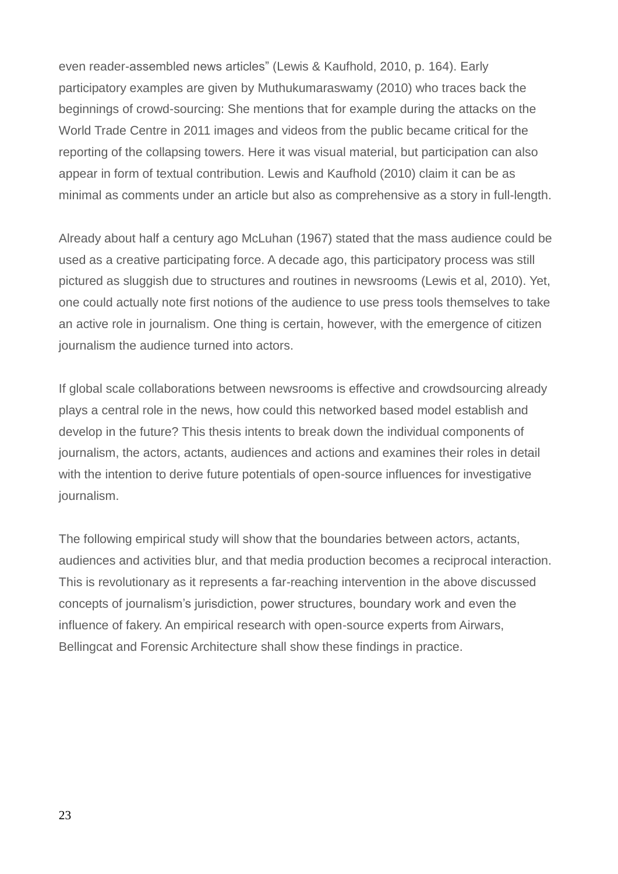even reader-assembled news articles" (Lewis & Kaufhold, 2010, p. 164). Early participatory examples are given by Muthukumaraswamy (2010) who traces back the beginnings of crowd-sourcing: She mentions that for example during the attacks on the World Trade Centre in 2011 images and videos from the public became critical for the reporting of the collapsing towers. Here it was visual material, but participation can also appear in form of textual contribution. Lewis and Kaufhold (2010) claim it can be as minimal as comments under an article but also as comprehensive as a story in full-length.

Already about half a century ago McLuhan (1967) stated that the mass audience could be used as a creative participating force. A decade ago, this participatory process was still pictured as sluggish due to structures and routines in newsrooms (Lewis et al, 2010). Yet, one could actually note first notions of the audience to use press tools themselves to take an active role in journalism. One thing is certain, however, with the emergence of citizen journalism the audience turned into actors.

If global scale collaborations between newsrooms is effective and crowdsourcing already plays a central role in the news, how could this networked based model establish and develop in the future? This thesis intents to break down the individual components of journalism, the actors, actants, audiences and actions and examines their roles in detail with the intention to derive future potentials of open-source influences for investigative journalism.

The following empirical study will show that the boundaries between actors, actants, audiences and activities blur, and that media production becomes a reciprocal interaction. This is revolutionary as it represents a far-reaching intervention in the above discussed concepts of journalism's jurisdiction, power structures, boundary work and even the influence of fakery. An empirical research with open-source experts from Airwars, Bellingcat and Forensic Architecture shall show these findings in practice.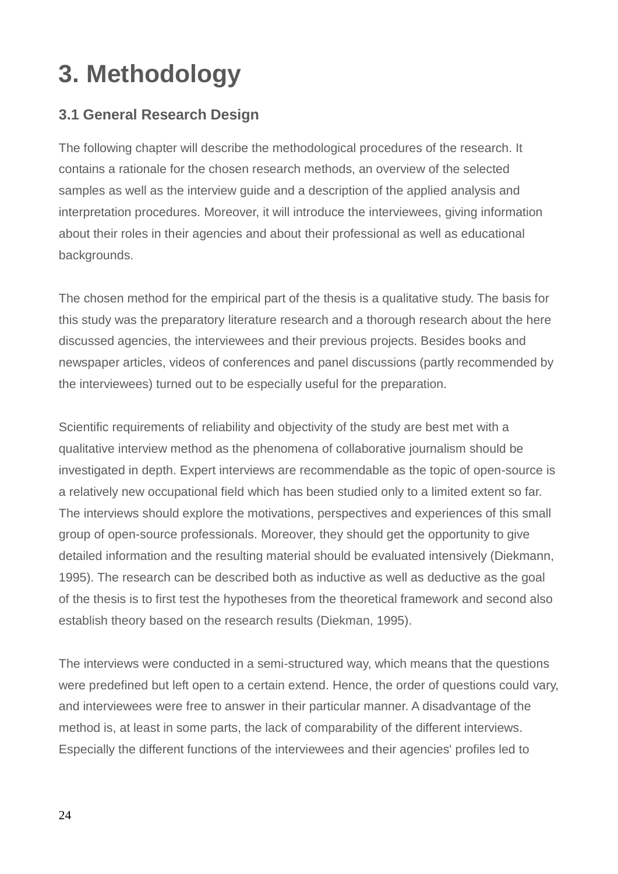### **3. Methodology**

### **3.1 General Research Design**

The following chapter will describe the methodological procedures of the research. It contains a rationale for the chosen research methods, an overview of the selected samples as well as the interview guide and a description of the applied analysis and interpretation procedures. Moreover, it will introduce the interviewees, giving information about their roles in their agencies and about their professional as well as educational backgrounds.

The chosen method for the empirical part of the thesis is a qualitative study. The basis for this study was the preparatory literature research and a thorough research about the here discussed agencies, the interviewees and their previous projects. Besides books and newspaper articles, videos of conferences and panel discussions (partly recommended by the interviewees) turned out to be especially useful for the preparation.

Scientific requirements of reliability and objectivity of the study are best met with a qualitative interview method as the phenomena of collaborative journalism should be investigated in depth. Expert interviews are recommendable as the topic of open-source is a relatively new occupational field which has been studied only to a limited extent so far. The interviews should explore the motivations, perspectives and experiences of this small group of open-source professionals. Moreover, they should get the opportunity to give detailed information and the resulting material should be evaluated intensively (Diekmann, 1995). The research can be described both as inductive as well as deductive as the goal of the thesis is to first test the hypotheses from the theoretical framework and second also establish theory based on the research results (Diekman, 1995).

The interviews were conducted in a semi-structured way, which means that the questions were predefined but left open to a certain extend. Hence, the order of questions could vary, and interviewees were free to answer in their particular manner. A disadvantage of the method is, at least in some parts, the lack of comparability of the different interviews. Especially the different functions of the interviewees and their agencies' profiles led to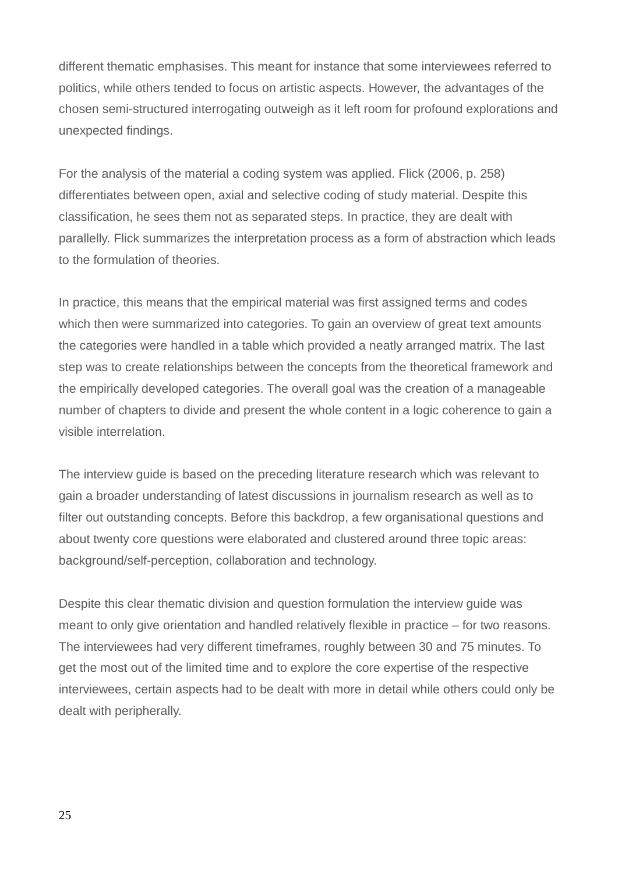different thematic emphasises. This meant for instance that some interviewees referred to politics, while others tended to focus on artistic aspects. However, the advantages of the chosen semi-structured interrogating outweigh as it left room for profound explorations and unexpected findings.

For the analysis of the material a coding system was applied. Flick (2006, p. 258) differentiates between open, axial and selective coding of study material. Despite this classification, he sees them not as separated steps. In practice, they are dealt with parallelly. Flick summarizes the interpretation process as a form of abstraction which leads to the formulation of theories.

In practice, this means that the empirical material was first assigned terms and codes which then were summarized into categories. To gain an overview of great text amounts the categories were handled in a table which provided a neatly arranged matrix. The last step was to create relationships between the concepts from the theoretical framework and the empirically developed categories. The overall goal was the creation of a manageable number of chapters to divide and present the whole content in a logic coherence to gain a visible interrelation.

The interview guide is based on the preceding literature research which was relevant to gain a broader understanding of latest discussions in journalism research as well as to filter out outstanding concepts. Before this backdrop, a few organisational questions and about twenty core questions were elaborated and clustered around three topic areas: background/self-perception, collaboration and technology.

Despite this clear thematic division and question formulation the interview guide was meant to only give orientation and handled relatively flexible in practice – for two reasons. The interviewees had very different timeframes, roughly between 30 and 75 minutes. To get the most out of the limited time and to explore the core expertise of the respective interviewees, certain aspects had to be dealt with more in detail while others could only be dealt with peripherally.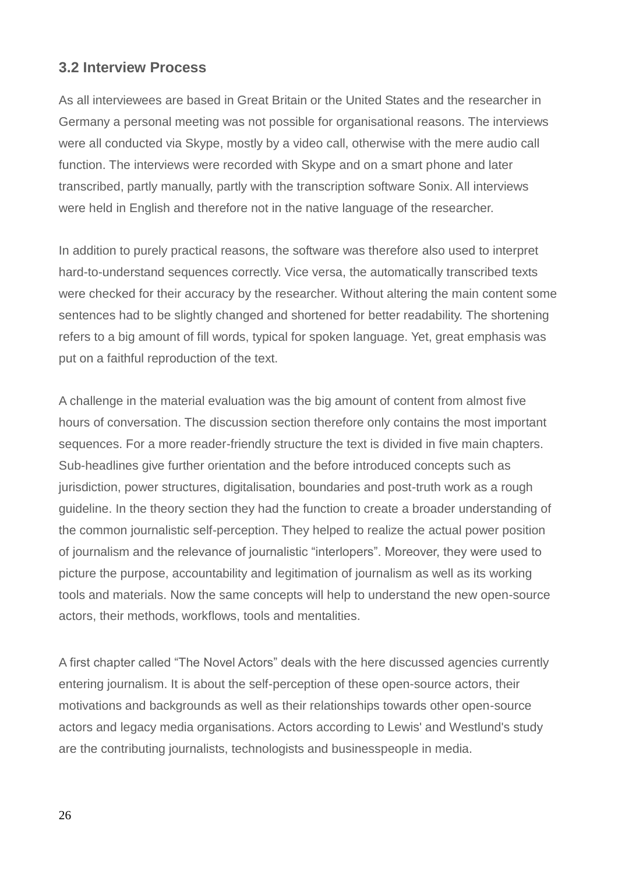### **3.2 Interview Process**

As all interviewees are based in Great Britain or the United States and the researcher in Germany a personal meeting was not possible for organisational reasons. The interviews were all conducted via Skype, mostly by a video call, otherwise with the mere audio call function. The interviews were recorded with Skype and on a smart phone and later transcribed, partly manually, partly with the transcription software Sonix. All interviews were held in English and therefore not in the native language of the researcher.

In addition to purely practical reasons, the software was therefore also used to interpret hard-to-understand sequences correctly. Vice versa, the automatically transcribed texts were checked for their accuracy by the researcher. Without altering the main content some sentences had to be slightly changed and shortened for better readability. The shortening refers to a big amount of fill words, typical for spoken language. Yet, great emphasis was put on a faithful reproduction of the text.

A challenge in the material evaluation was the big amount of content from almost five hours of conversation. The discussion section therefore only contains the most important sequences. For a more reader-friendly structure the text is divided in five main chapters. Sub-headlines give further orientation and the before introduced concepts such as jurisdiction, power structures, digitalisation, boundaries and post-truth work as a rough guideline. In the theory section they had the function to create a broader understanding of the common journalistic self-perception. They helped to realize the actual power position of journalism and the relevance of journalistic "interlopers". Moreover, they were used to picture the purpose, accountability and legitimation of journalism as well as its working tools and materials. Now the same concepts will help to understand the new open-source actors, their methods, workflows, tools and mentalities.

A first chapter called "The Novel Actors" deals with the here discussed agencies currently entering journalism. It is about the self-perception of these open-source actors, their motivations and backgrounds as well as their relationships towards other open-source actors and legacy media organisations. Actors according to Lewis' and Westlund's study are the contributing journalists, technologists and businesspeople in media.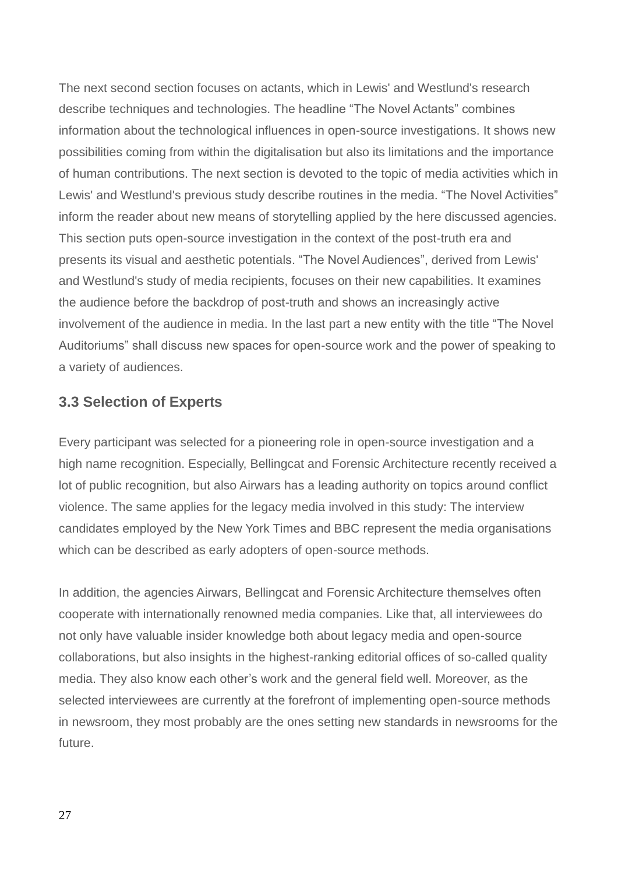The next second section focuses on actants, which in Lewis' and Westlund's research describe techniques and technologies. The headline "The Novel Actants" combines information about the technological influences in open-source investigations. It shows new possibilities coming from within the digitalisation but also its limitations and the importance of human contributions. The next section is devoted to the topic of media activities which in Lewis' and Westlund's previous study describe routines in the media. "The Novel Activities" inform the reader about new means of storytelling applied by the here discussed agencies. This section puts open-source investigation in the context of the post-truth era and presents its visual and aesthetic potentials. "The Novel Audiences", derived from Lewis' and Westlund's study of media recipients, focuses on their new capabilities. It examines the audience before the backdrop of post-truth and shows an increasingly active involvement of the audience in media. In the last part a new entity with the title "The Novel Auditoriums" shall discuss new spaces for open-source work and the power of speaking to a variety of audiences.

### **3.3 Selection of Experts**

Every participant was selected for a pioneering role in open-source investigation and a high name recognition. Especially, Bellingcat and Forensic Architecture recently received a lot of public recognition, but also Airwars has a leading authority on topics around conflict violence. The same applies for the legacy media involved in this study: The interview candidates employed by the New York Times and BBC represent the media organisations which can be described as early adopters of open-source methods.

In addition, the agencies Airwars, Bellingcat and Forensic Architecture themselves often cooperate with internationally renowned media companies. Like that, all interviewees do not only have valuable insider knowledge both about legacy media and open-source collaborations, but also insights in the highest-ranking editorial offices of so-called quality media. They also know each other's work and the general field well. Moreover, as the selected interviewees are currently at the forefront of implementing open-source methods in newsroom, they most probably are the ones setting new standards in newsrooms for the future.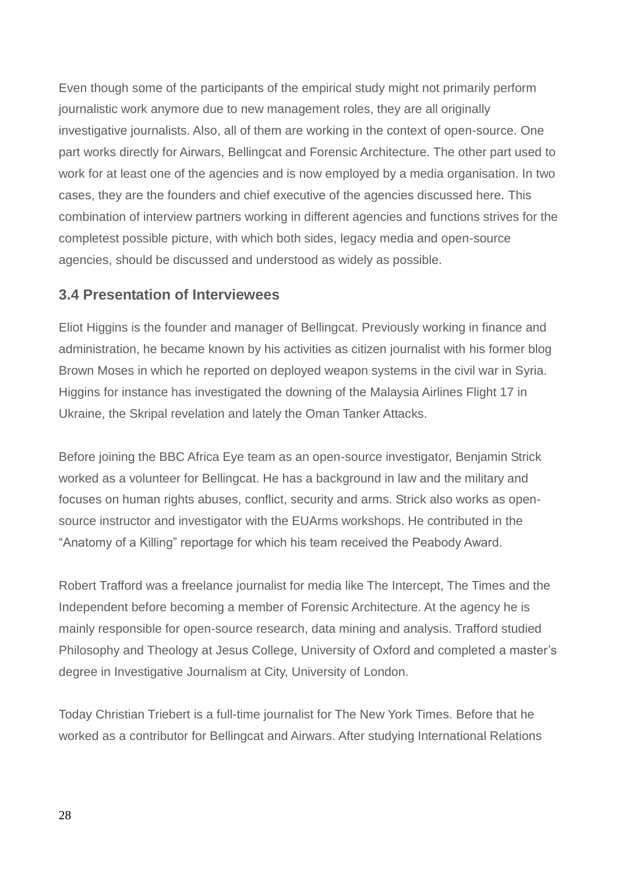Even though some of the participants of the empirical study might not primarily perform journalistic work anymore due to new management roles, they are all originally investigative journalists. Also, all of them are working in the context of open-source. One part works directly for Airwars, Bellingcat and Forensic Architecture. The other part used to work for at least one of the agencies and is now employed by a media organisation. In two cases, they are the founders and chief executive of the agencies discussed here. This combination of interview partners working in different agencies and functions strives for the completest possible picture, with which both sides, legacy media and open-source agencies, should be discussed and understood as widely as possible.

### **3.4 Presentation of Interviewees**

Eliot Higgins is the founder and manager of Bellingcat. Previously working in finance and administration, he became known by his activities as citizen journalist with his former blog Brown Moses in which he reported on deployed weapon systems in the civil war in Syria. Higgins for instance has investigated the downing of the Malaysia Airlines Flight 17 in Ukraine, the Skripal revelation and lately the Oman Tanker Attacks.

Before joining the BBC Africa Eye team as an open-source investigator, Benjamin Strick worked as a volunteer for Bellingcat. He has a background in law and the military and focuses on human rights abuses, conflict, security and arms. Strick also works as opensource instructor and investigator with the EUArms workshops. He contributed in the "Anatomy of a Killing" reportage for which his team received the Peabody Award.

Robert Trafford was a freelance journalist for media like The Intercept, The Times and the Independent before becoming a member of Forensic Architecture. At the agency he is mainly responsible for open-source research, data mining and analysis. Trafford studied Philosophy and Theology at Jesus College, University of Oxford and completed a master's degree in Investigative Journalism at City, University of London.

Today Christian Triebert is a full-time journalist for The New York Times. Before that he worked as a contributor for Bellingcat and Airwars. After studying International Relations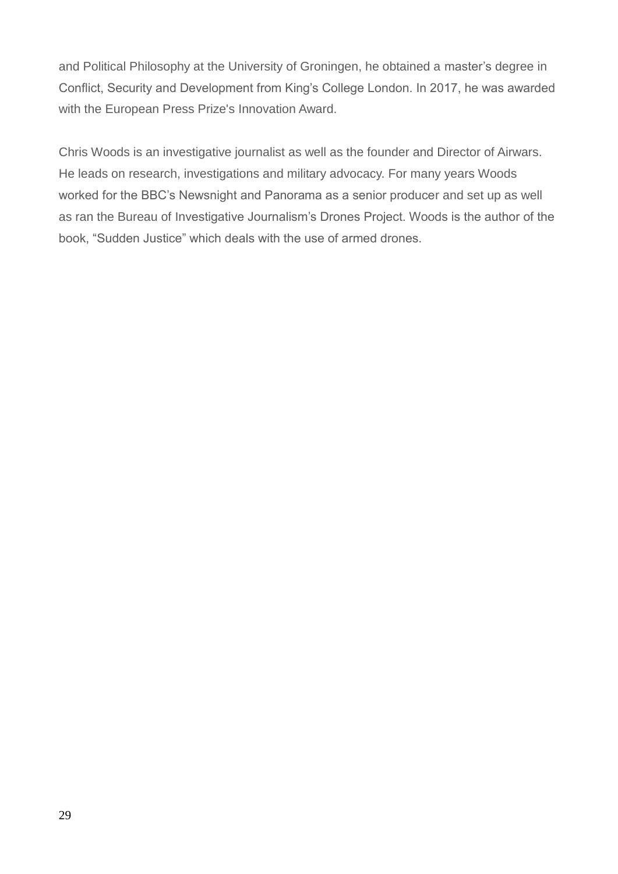and Political Philosophy at the University of Groningen, he obtained a master's degree in Conflict, Security and Development from King's College London. In 2017, he was awarded with the European Press Prize's Innovation Award.

Chris Woods is an investigative journalist as well as the founder and Director of Airwars. He leads on research, investigations and military advocacy. For many years Woods worked for the BBC's Newsnight and Panorama as a senior producer and set up as well as ran the Bureau of Investigative Journalism's Drones Project. Woods is the author of the book, "Sudden Justice" which deals with the use of armed drones.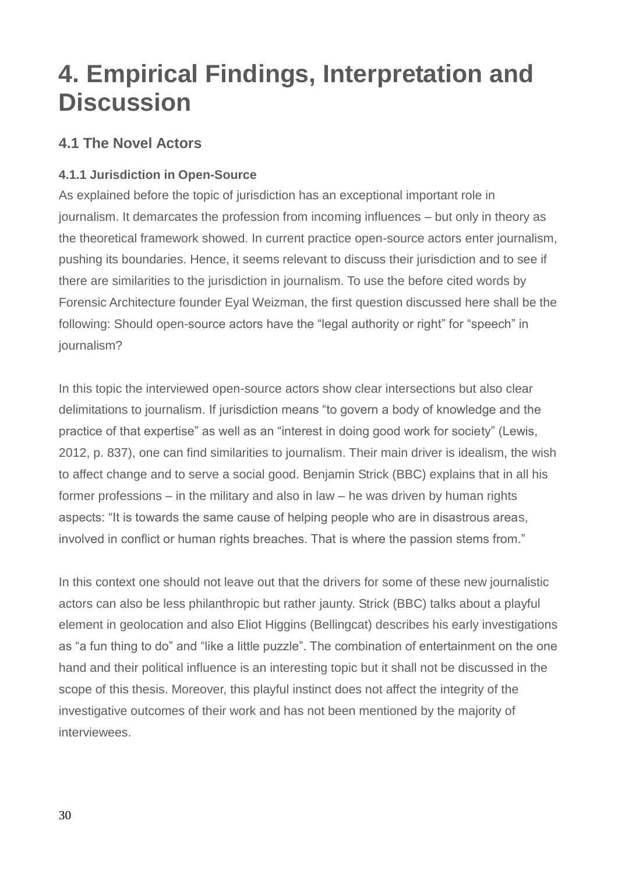### **4. Empirical Findings, Interpretation and Discussion**

### **4.1 The Novel Actors**

### **4.1.1 Jurisdiction in Open-Source**

As explained before the topic of jurisdiction has an exceptional important role in journalism. It demarcates the profession from incoming influences – but only in theory as the theoretical framework showed. In current practice open-source actors enter journalism, pushing its boundaries. Hence, it seems relevant to discuss their jurisdiction and to see if there are similarities to the jurisdiction in journalism. To use the before cited words by Forensic Architecture founder Eyal Weizman, the first question discussed here shall be the following: Should open-source actors have the "legal authority or right" for "speech" in journalism?

In this topic the interviewed open-source actors show clear intersections but also clear delimitations to journalism. If jurisdiction means "to govern a body of knowledge and the practice of that expertise" as well as an "interest in doing good work for society" (Lewis, 2012, p. 837), one can find similarities to journalism. Their main driver is idealism, the wish to affect change and to serve a social good. Benjamin Strick (BBC) explains that in all his former professions – in the military and also in law – he was driven by human rights aspects: "It is towards the same cause of helping people who are in disastrous areas, involved in conflict or human rights breaches. That is where the passion stems from."

In this context one should not leave out that the drivers for some of these new journalistic actors can also be less philanthropic but rather jaunty. Strick (BBC) talks about a playful element in geolocation and also Eliot Higgins (Bellingcat) describes his early investigations as "a fun thing to do" and "like a little puzzle". The combination of entertainment on the one hand and their political influence is an interesting topic but it shall not be discussed in the scope of this thesis. Moreover, this playful instinct does not affect the integrity of the investigative outcomes of their work and has not been mentioned by the majority of interviewees.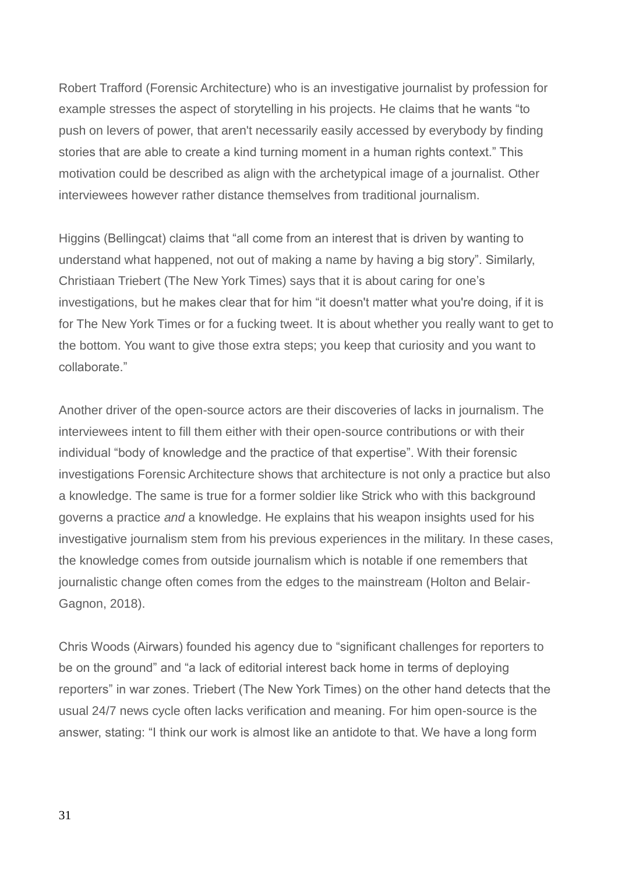Robert Trafford (Forensic Architecture) who is an investigative journalist by profession for example stresses the aspect of storytelling in his projects. He claims that he wants "to push on levers of power, that aren't necessarily easily accessed by everybody by finding stories that are able to create a kind turning moment in a human rights context." This motivation could be described as align with the archetypical image of a journalist. Other interviewees however rather distance themselves from traditional journalism.

Higgins (Bellingcat) claims that "all come from an interest that is driven by wanting to understand what happened, not out of making a name by having a big story". Similarly, Christiaan Triebert (The New York Times) says that it is about caring for one's investigations, but he makes clear that for him "it doesn't matter what you're doing, if it is for The New York Times or for a fucking tweet. It is about whether you really want to get to the bottom. You want to give those extra steps; you keep that curiosity and you want to collaborate."

Another driver of the open-source actors are their discoveries of lacks in journalism. The interviewees intent to fill them either with their open-source contributions or with their individual "body of knowledge and the practice of that expertise". With their forensic investigations Forensic Architecture shows that architecture is not only a practice but also a knowledge. The same is true for a former soldier like Strick who with this background governs a practice *and* a knowledge. He explains that his weapon insights used for his investigative journalism stem from his previous experiences in the military. In these cases, the knowledge comes from outside journalism which is notable if one remembers that journalistic change often comes from the edges to the mainstream (Holton and Belair-Gagnon, 2018).

Chris Woods (Airwars) founded his agency due to "significant challenges for reporters to be on the ground" and "a lack of editorial interest back home in terms of deploying reporters" in war zones. Triebert (The New York Times) on the other hand detects that the usual 24/7 news cycle often lacks verification and meaning. For him open-source is the answer, stating: "I think our work is almost like an antidote to that. We have a long form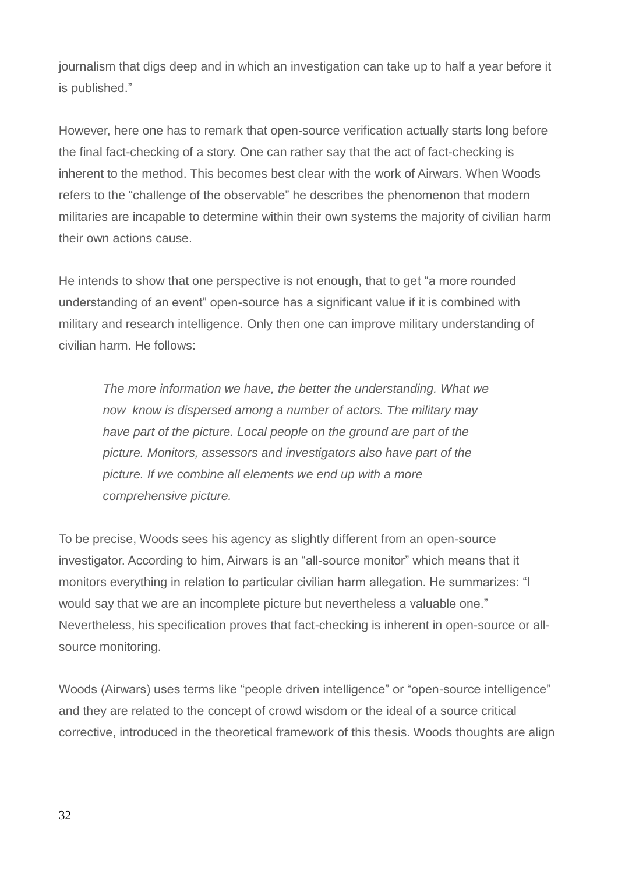journalism that digs deep and in which an investigation can take up to half a year before it is published."

However, here one has to remark that open-source verification actually starts long before the final fact-checking of a story. One can rather say that the act of fact-checking is inherent to the method. This becomes best clear with the work of Airwars. When Woods refers to the "challenge of the observable" he describes the phenomenon that modern militaries are incapable to determine within their own systems the majority of civilian harm their own actions cause.

He intends to show that one perspective is not enough, that to get "a more rounded understanding of an event" open-source has a significant value if it is combined with military and research intelligence. Only then one can improve military understanding of civilian harm. He follows:

*The more information we have, the better the understanding. What we now know is dispersed among a number of actors. The military may have part of the picture. Local people on the ground are part of the picture. Monitors, assessors and investigators also have part of the picture. If we combine all elements we end up with a more comprehensive picture.* 

To be precise, Woods sees his agency as slightly different from an open-source investigator. According to him, Airwars is an "all-source monitor" which means that it monitors everything in relation to particular civilian harm allegation. He summarizes: "I would say that we are an incomplete picture but nevertheless a valuable one." Nevertheless, his specification proves that fact-checking is inherent in open-source or allsource monitoring.

Woods (Airwars) uses terms like "people driven intelligence" or "open-source intelligence" and they are related to the concept of crowd wisdom or the ideal of a source critical corrective, introduced in the theoretical framework of this thesis. Woods thoughts are align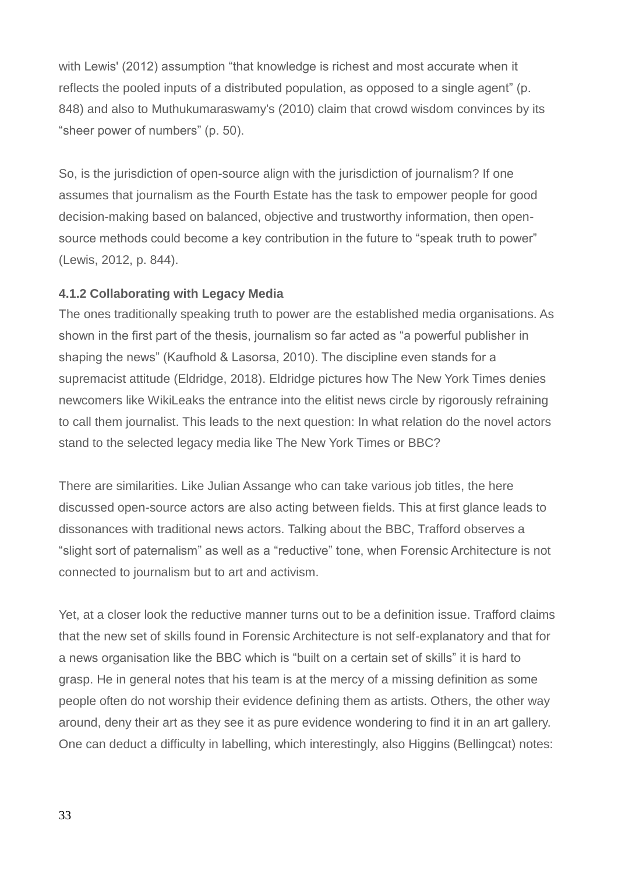with Lewis' (2012) assumption "that knowledge is richest and most accurate when it reflects the pooled inputs of a distributed population, as opposed to a single agent" (p. 848) and also to Muthukumaraswamy's (2010) claim that crowd wisdom convinces by its "sheer power of numbers" (p. 50).

So, is the jurisdiction of open-source align with the jurisdiction of journalism? If one assumes that journalism as the Fourth Estate has the task to empower people for good decision-making based on balanced, objective and trustworthy information, then opensource methods could become a key contribution in the future to "speak truth to power" (Lewis, 2012, p. 844).

### **4.1.2 Collaborating with Legacy Media**

The ones traditionally speaking truth to power are the established media organisations. As shown in the first part of the thesis, journalism so far acted as "a powerful publisher in shaping the news" (Kaufhold & Lasorsa, 2010). The discipline even stands for a supremacist attitude (Eldridge, 2018). Eldridge pictures how The New York Times denies newcomers like WikiLeaks the entrance into the elitist news circle by rigorously refraining to call them journalist. This leads to the next question: In what relation do the novel actors stand to the selected legacy media like The New York Times or BBC?

There are similarities. Like Julian Assange who can take various job titles, the here discussed open-source actors are also acting between fields. This at first glance leads to dissonances with traditional news actors. Talking about the BBC, Trafford observes a "slight sort of paternalism" as well as a "reductive" tone, when Forensic Architecture is not connected to journalism but to art and activism.

Yet, at a closer look the reductive manner turns out to be a definition issue. Trafford claims that the new set of skills found in Forensic Architecture is not self-explanatory and that for a news organisation like the BBC which is "built on a certain set of skills" it is hard to grasp. He in general notes that his team is at the mercy of a missing definition as some people often do not worship their evidence defining them as artists. Others, the other way around, deny their art as they see it as pure evidence wondering to find it in an art gallery. One can deduct a difficulty in labelling, which interestingly, also Higgins (Bellingcat) notes: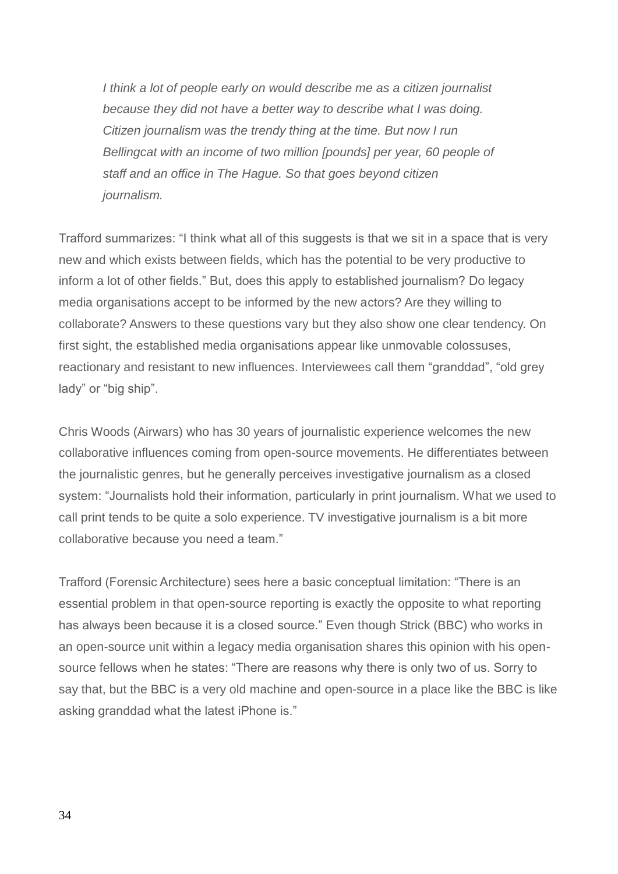*I think a lot of people early on would describe me as a citizen journalist because they did not have a better way to describe what I was doing. Citizen journalism was the trendy thing at the time. But now I run Bellingcat with an income of two million [pounds] per year, 60 people of staff and an office in The Hague. So that goes beyond citizen journalism.* 

Trafford summarizes: "I think what all of this suggests is that we sit in a space that is very new and which exists between fields, which has the potential to be very productive to inform a lot of other fields." But, does this apply to established journalism? Do legacy media organisations accept to be informed by the new actors? Are they willing to collaborate? Answers to these questions vary but they also show one clear tendency. On first sight, the established media organisations appear like unmovable colossuses, reactionary and resistant to new influences. Interviewees call them "granddad", "old grey lady" or "big ship".

Chris Woods (Airwars) who has 30 years of journalistic experience welcomes the new collaborative influences coming from open-source movements. He differentiates between the journalistic genres, but he generally perceives investigative journalism as a closed system: "Journalists hold their information, particularly in print journalism. What we used to call print tends to be quite a solo experience. TV investigative journalism is a bit more collaborative because you need a team."

Trafford (Forensic Architecture) sees here a basic conceptual limitation: "There is an essential problem in that open-source reporting is exactly the opposite to what reporting has always been because it is a closed source." Even though Strick (BBC) who works in an open-source unit within a legacy media organisation shares this opinion with his opensource fellows when he states: "There are reasons why there is only two of us. Sorry to say that, but the BBC is a very old machine and open-source in a place like the BBC is like asking granddad what the latest iPhone is."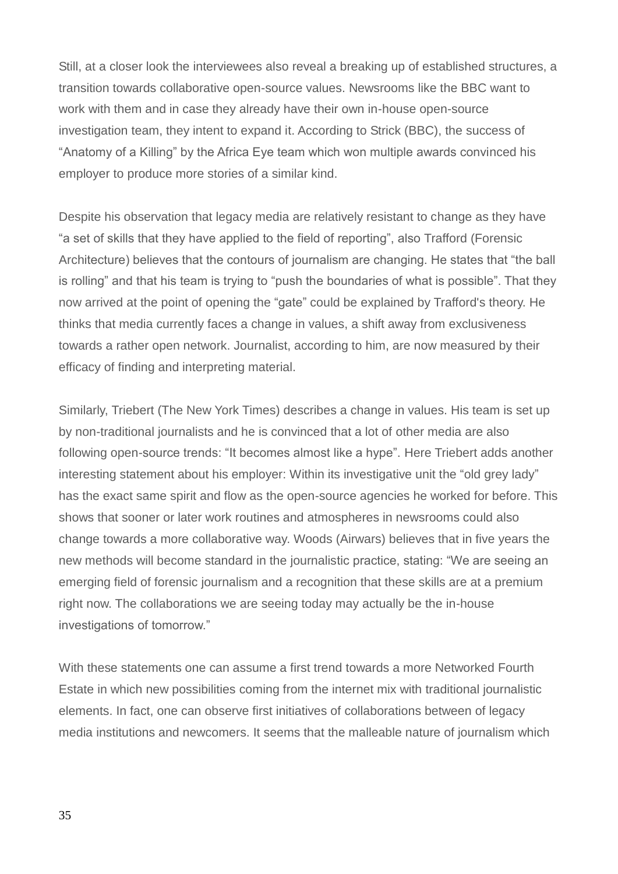Still, at a closer look the interviewees also reveal a breaking up of established structures, a transition towards collaborative open-source values. Newsrooms like the BBC want to work with them and in case they already have their own in-house open-source investigation team, they intent to expand it. According to Strick (BBC), the success of "Anatomy of a Killing" by the Africa Eye team which won multiple awards convinced his employer to produce more stories of a similar kind.

Despite his observation that legacy media are relatively resistant to change as they have "a set of skills that they have applied to the field of reporting", also Trafford (Forensic Architecture) believes that the contours of journalism are changing. He states that "the ball is rolling" and that his team is trying to "push the boundaries of what is possible". That they now arrived at the point of opening the "gate" could be explained by Trafford's theory. He thinks that media currently faces a change in values, a shift away from exclusiveness towards a rather open network. Journalist, according to him, are now measured by their efficacy of finding and interpreting material.

Similarly, Triebert (The New York Times) describes a change in values. His team is set up by non-traditional journalists and he is convinced that a lot of other media are also following open-source trends: "It becomes almost like a hype". Here Triebert adds another interesting statement about his employer: Within its investigative unit the "old grey lady" has the exact same spirit and flow as the open-source agencies he worked for before. This shows that sooner or later work routines and atmospheres in newsrooms could also change towards a more collaborative way. Woods (Airwars) believes that in five years the new methods will become standard in the journalistic practice, stating: "We are seeing an emerging field of forensic journalism and a recognition that these skills are at a premium right now. The collaborations we are seeing today may actually be the in-house investigations of tomorrow."

With these statements one can assume a first trend towards a more Networked Fourth Estate in which new possibilities coming from the internet mix with traditional journalistic elements. In fact, one can observe first initiatives of collaborations between of legacy media institutions and newcomers. It seems that the malleable nature of journalism which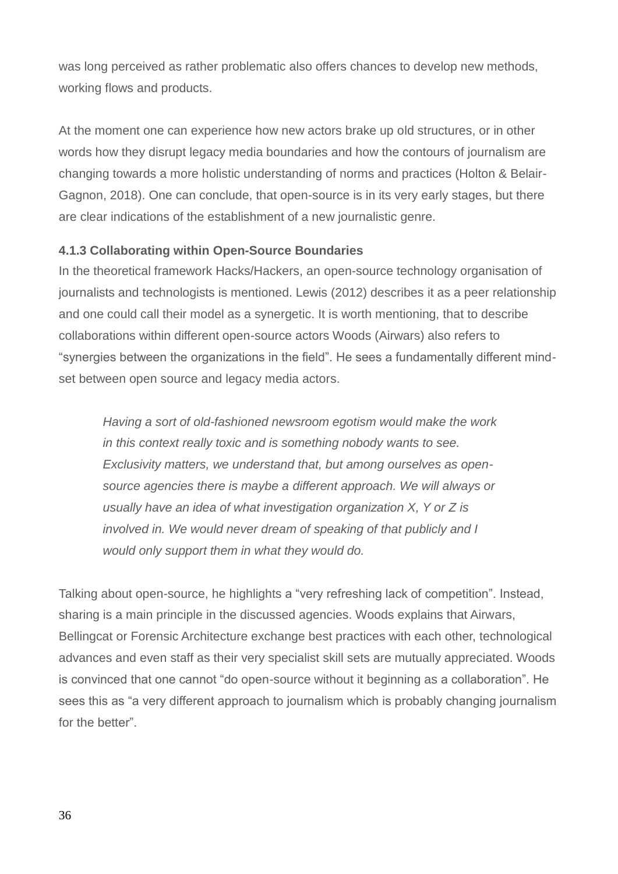was long perceived as rather problematic also offers chances to develop new methods, working flows and products.

At the moment one can experience how new actors brake up old structures, or in other words how they disrupt legacy media boundaries and how the contours of journalism are changing towards a more holistic understanding of norms and practices (Holton & Belair-Gagnon, 2018). One can conclude, that open-source is in its very early stages, but there are clear indications of the establishment of a new journalistic genre.

### **4.1.3 Collaborating within Open-Source Boundaries**

In the theoretical framework Hacks/Hackers, an open-source technology organisation of journalists and technologists is mentioned. Lewis (2012) describes it as a peer relationship and one could call their model as a synergetic. It is worth mentioning, that to describe collaborations within different open-source actors Woods (Airwars) also refers to "synergies between the organizations in the field". He sees a fundamentally different mindset between open source and legacy media actors.

*Having a sort of old-fashioned newsroom egotism would make the work in this context really toxic and is something nobody wants to see. Exclusivity matters, we understand that, but among ourselves as opensource agencies there is maybe a different approach. We will always or usually have an idea of what investigation organization X, Y or Z is involved in. We would never dream of speaking of that publicly and I would only support them in what they would do.* 

Talking about open-source, he highlights a "very refreshing lack of competition". Instead, sharing is a main principle in the discussed agencies. Woods explains that Airwars, Bellingcat or Forensic Architecture exchange best practices with each other, technological advances and even staff as their very specialist skill sets are mutually appreciated. Woods is convinced that one cannot "do open-source without it beginning as a collaboration". He sees this as "a very different approach to journalism which is probably changing journalism for the better"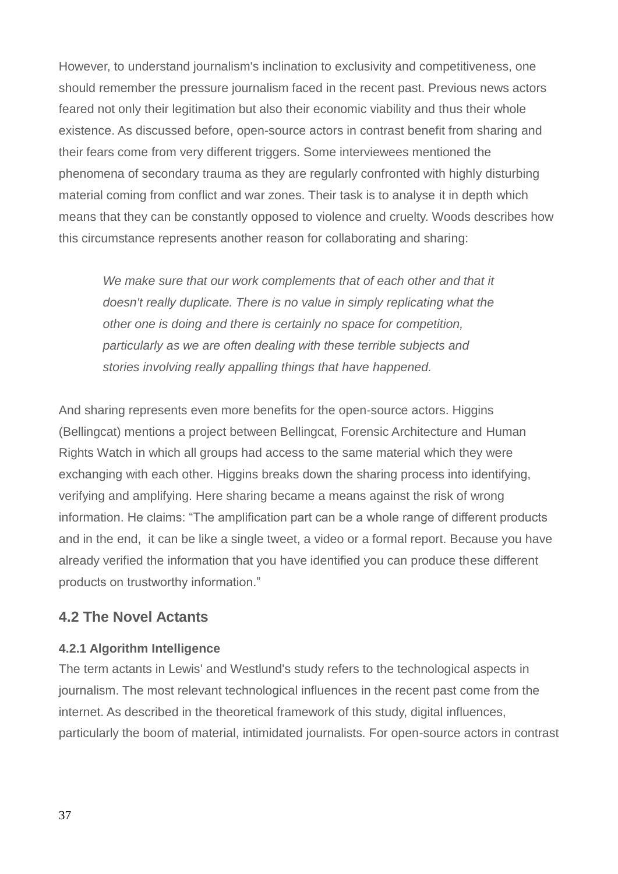However, to understand journalism's inclination to exclusivity and competitiveness, one should remember the pressure journalism faced in the recent past. Previous news actors feared not only their legitimation but also their economic viability and thus their whole existence. As discussed before, open-source actors in contrast benefit from sharing and their fears come from very different triggers. Some interviewees mentioned the phenomena of secondary trauma as they are regularly confronted with highly disturbing material coming from conflict and war zones. Their task is to analyse it in depth which means that they can be constantly opposed to violence and cruelty. Woods describes how this circumstance represents another reason for collaborating and sharing:

*We make sure that our work complements that of each other and that it doesn't really duplicate. There is no value in simply replicating what the other one is doing and there is certainly no space for competition, particularly as we are often dealing with these terrible subjects and stories involving really appalling things that have happened.* 

And sharing represents even more benefits for the open-source actors. Higgins (Bellingcat) mentions a project between Bellingcat, Forensic Architecture and Human Rights Watch in which all groups had access to the same material which they were exchanging with each other. Higgins breaks down the sharing process into identifying, verifying and amplifying. Here sharing became a means against the risk of wrong information. He claims: "The amplification part can be a whole range of different products and in the end, it can be like a single tweet, a video or a formal report. Because you have already verified the information that you have identified you can produce these different products on trustworthy information."

### **4.2 The Novel Actants**

#### **4.2.1 Algorithm Intelligence**

The term actants in Lewis' and Westlund's study refers to the technological aspects in journalism. The most relevant technological influences in the recent past come from the internet. As described in the theoretical framework of this study, digital influences, particularly the boom of material, intimidated journalists. For open-source actors in contrast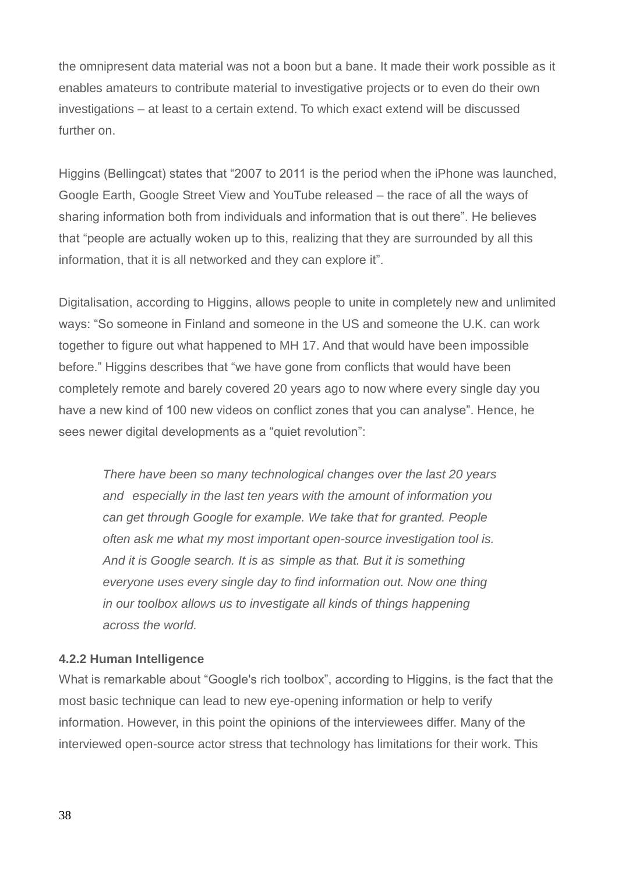the omnipresent data material was not a boon but a bane. It made their work possible as it enables amateurs to contribute material to investigative projects or to even do their own investigations – at least to a certain extend. To which exact extend will be discussed further on.

Higgins (Bellingcat) states that "2007 to 2011 is the period when the iPhone was launched, Google Earth, Google Street View and YouTube released – the race of all the ways of sharing information both from individuals and information that is out there". He believes that "people are actually woken up to this, realizing that they are surrounded by all this information, that it is all networked and they can explore it".

Digitalisation, according to Higgins, allows people to unite in completely new and unlimited ways: "So someone in Finland and someone in the US and someone the U.K. can work together to figure out what happened to MH 17. And that would have been impossible before." Higgins describes that "we have gone from conflicts that would have been completely remote and barely covered 20 years ago to now where every single day you have a new kind of 100 new videos on conflict zones that you can analyse". Hence, he sees newer digital developments as a "quiet revolution":

*There have been so many technological changes over the last 20 years and especially in the last ten years with the amount of information you can get through Google for example. We take that for granted. People often ask me what my most important open-source investigation tool is. And it is Google search. It is as simple as that. But it is something everyone uses every single day to find information out. Now one thing in our toolbox allows us to investigate all kinds of things happening across the world.* 

### **4.2.2 Human Intelligence**

What is remarkable about "Google's rich toolbox", according to Higgins, is the fact that the most basic technique can lead to new eye-opening information or help to verify information. However, in this point the opinions of the interviewees differ. Many of the interviewed open-source actor stress that technology has limitations for their work. This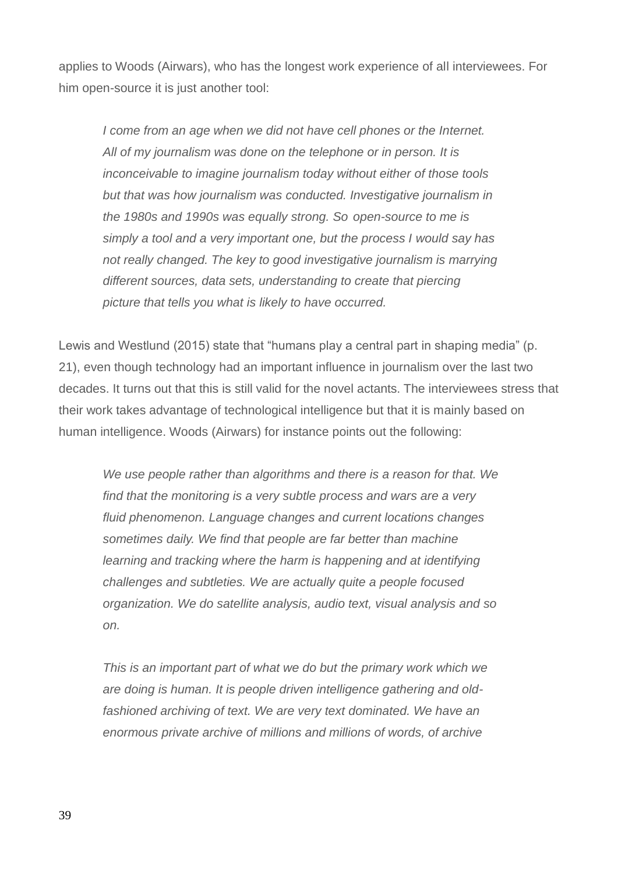applies to Woods (Airwars), who has the longest work experience of all interviewees. For him open-source it is just another tool:

*I come from an age when we did not have cell phones or the Internet. All of my journalism was done on the telephone or in person. It is inconceivable to imagine journalism today without either of those tools but that was how journalism was conducted. Investigative journalism in the 1980s and 1990s was equally strong. So open-source to me is simply a tool and a very important one, but the process I would say has not really changed. The key to good investigative journalism is marrying different sources, data sets, understanding to create that piercing picture that tells you what is likely to have occurred.* 

Lewis and Westlund (2015) state that "humans play a central part in shaping media" (p. 21), even though technology had an important influence in journalism over the last two decades. It turns out that this is still valid for the novel actants. The interviewees stress that their work takes advantage of technological intelligence but that it is mainly based on human intelligence. Woods (Airwars) for instance points out the following:

*We use people rather than algorithms and there is a reason for that. We find that the monitoring is a very subtle process and wars are a very fluid phenomenon. Language changes and current locations changes sometimes daily. We find that people are far better than machine learning and tracking where the harm is happening and at identifying challenges and subtleties. We are actually quite a people focused organization. We do satellite analysis, audio text, visual analysis and so on.* 

*This is an important part of what we do but the primary work which we are doing is human. It is people driven intelligence gathering and oldfashioned archiving of text. We are very text dominated. We have an enormous private archive of millions and millions of words, of archive*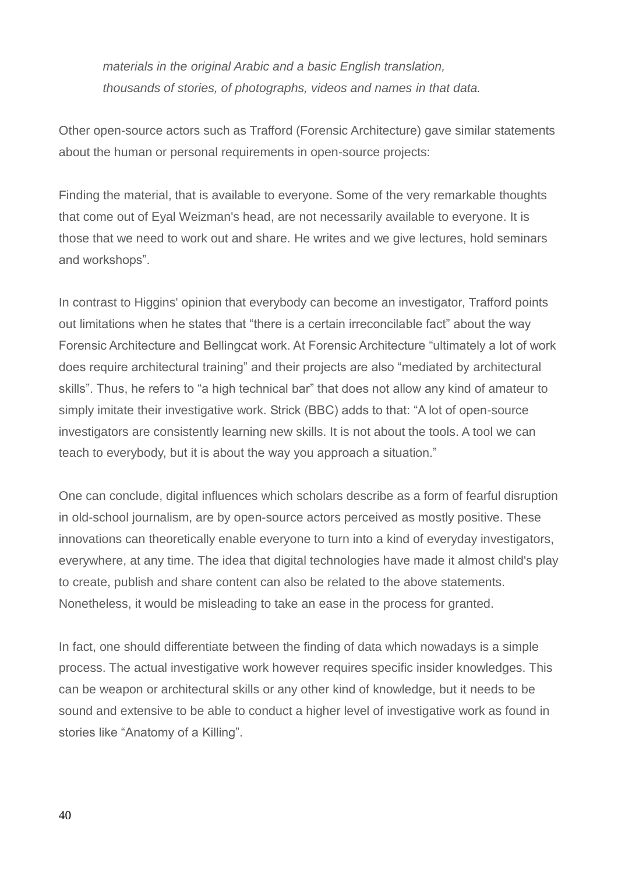*materials in the original Arabic and a basic English translation, thousands of stories, of photographs, videos and names in that data.* 

Other open-source actors such as Trafford (Forensic Architecture) gave similar statements about the human or personal requirements in open-source projects:

Finding the material, that is available to everyone. Some of the very remarkable thoughts that come out of Eyal Weizman's head, are not necessarily available to everyone. It is those that we need to work out and share. He writes and we give lectures, hold seminars and workshops".

In contrast to Higgins' opinion that everybody can become an investigator, Trafford points out limitations when he states that "there is a certain irreconcilable fact" about the way Forensic Architecture and Bellingcat work. At Forensic Architecture "ultimately a lot of work does require architectural training" and their projects are also "mediated by architectural skills". Thus, he refers to "a high technical bar" that does not allow any kind of amateur to simply imitate their investigative work. Strick (BBC) adds to that: "A lot of open-source investigators are consistently learning new skills. It is not about the tools. A tool we can teach to everybody, but it is about the way you approach a situation."

One can conclude, digital influences which scholars describe as a form of fearful disruption in old-school journalism, are by open-source actors perceived as mostly positive. These innovations can theoretically enable everyone to turn into a kind of everyday investigators, everywhere, at any time. The idea that digital technologies have made it almost child's play to create, publish and share content can also be related to the above statements. Nonetheless, it would be misleading to take an ease in the process for granted.

In fact, one should differentiate between the finding of data which nowadays is a simple process. The actual investigative work however requires specific insider knowledges. This can be weapon or architectural skills or any other kind of knowledge, but it needs to be sound and extensive to be able to conduct a higher level of investigative work as found in stories like "Anatomy of a Killing".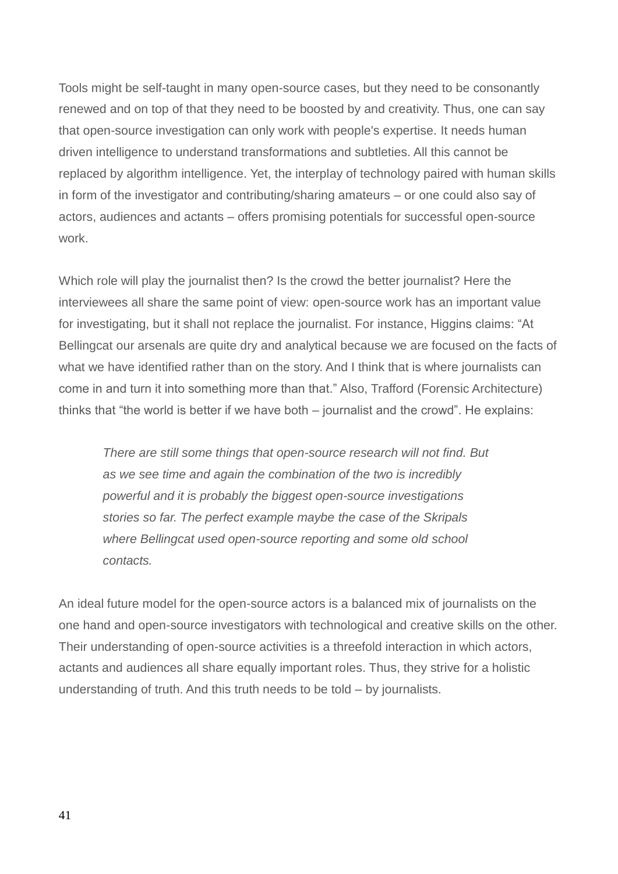Tools might be self-taught in many open-source cases, but they need to be consonantly renewed and on top of that they need to be boosted by and creativity. Thus, one can say that open-source investigation can only work with people's expertise. It needs human driven intelligence to understand transformations and subtleties. All this cannot be replaced by algorithm intelligence. Yet, the interplay of technology paired with human skills in form of the investigator and contributing/sharing amateurs – or one could also say of actors, audiences and actants – offers promising potentials for successful open-source work.

Which role will play the journalist then? Is the crowd the better journalist? Here the interviewees all share the same point of view: open-source work has an important value for investigating, but it shall not replace the journalist. For instance, Higgins claims: "At Bellingcat our arsenals are quite dry and analytical because we are focused on the facts of what we have identified rather than on the story. And I think that is where journalists can come in and turn it into something more than that." Also, Trafford (Forensic Architecture) thinks that "the world is better if we have both – journalist and the crowd". He explains:

*There are still some things that open-source research will not find. But as we see time and again the combination of the two is incredibly powerful and it is probably the biggest open-source investigations stories so far. The perfect example maybe the case of the Skripals where Bellingcat used open-source reporting and some old school contacts.*

An ideal future model for the open-source actors is a balanced mix of journalists on the one hand and open-source investigators with technological and creative skills on the other. Their understanding of open-source activities is a threefold interaction in which actors, actants and audiences all share equally important roles. Thus, they strive for a holistic understanding of truth. And this truth needs to be told – by journalists.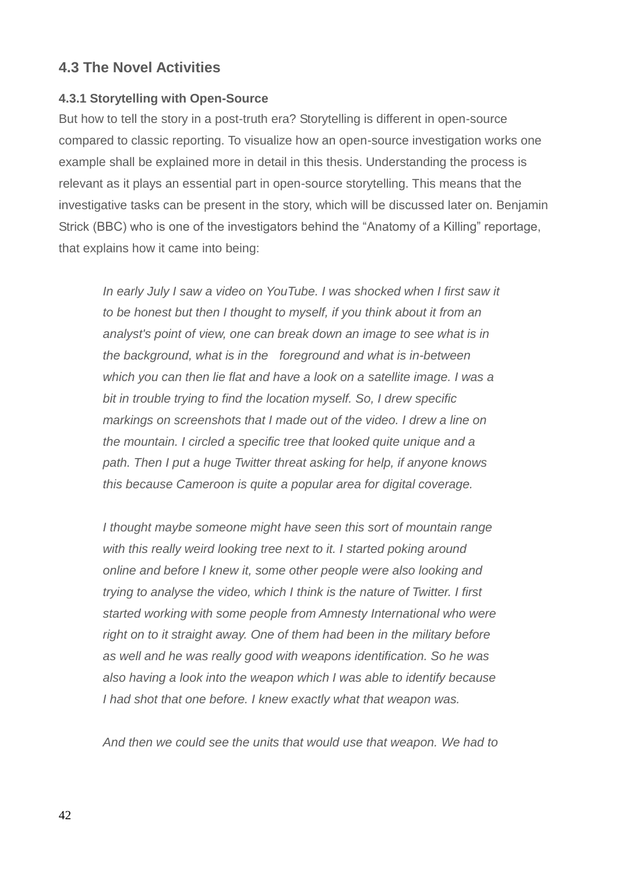### **4.3 The Novel Activities**

### **4.3.1 Storytelling with Open-Source**

But how to tell the story in a post-truth era? Storytelling is different in open-source compared to classic reporting. To visualize how an open-source investigation works one example shall be explained more in detail in this thesis. Understanding the process is relevant as it plays an essential part in open-source storytelling. This means that the investigative tasks can be present in the story, which will be discussed later on. Benjamin Strick (BBC) who is one of the investigators behind the "Anatomy of a Killing" reportage, that explains how it came into being:

*In early July I saw a video on YouTube. I was shocked when I first saw it to be honest but then I thought to myself, if you think about it from an analyst's point of view, one can break down an image to see what is in the background, what is in the foreground and what is in-between which you can then lie flat and have a look on a satellite image. I was a bit in trouble trying to find the location myself. So, I drew specific markings on screenshots that I made out of the video. I drew a line on the mountain. I circled a specific tree that looked quite unique and a path. Then I put a huge Twitter threat asking for help, if anyone knows this because Cameroon is quite a popular area for digital coverage.*

*I thought maybe someone might have seen this sort of mountain range with this really weird looking tree next to it. I started poking around online and before I knew it, some other people were also looking and trying to analyse the video, which I think is the nature of Twitter. I first started working with some people from Amnesty International who were right on to it straight away. One of them had been in the military before as well and he was really good with weapons identification. So he was also having a look into the weapon which I was able to identify because I had shot that one before. I knew exactly what that weapon was.*

*And then we could see the units that would use that weapon. We had to*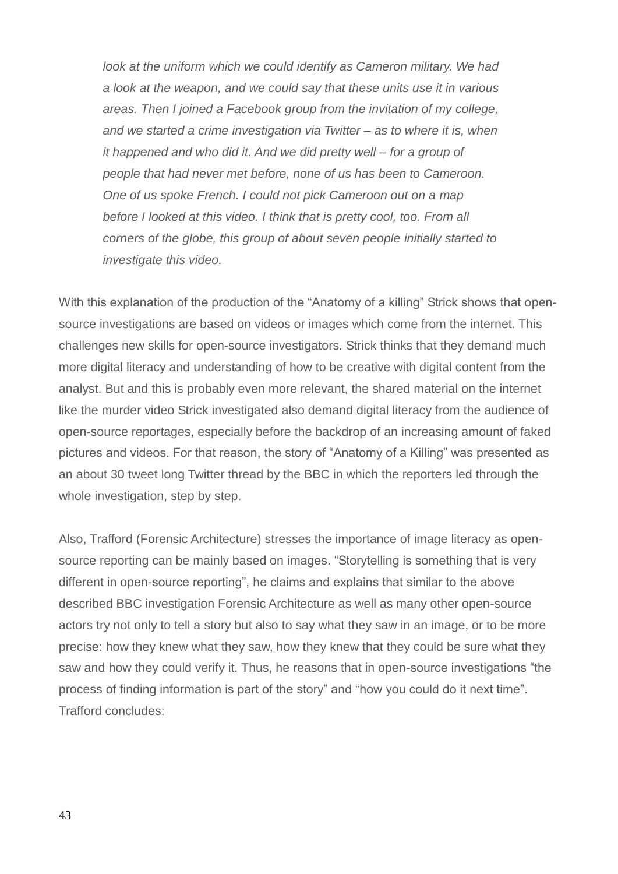*look at the uniform which we could identify as Cameron military. We had a look at the weapon, and we could say that these units use it in various areas. Then I joined a Facebook group from the invitation of my college, and we started a crime investigation via Twitter – as to where it is, when it happened and who did it. And we did pretty well – for a group of people that had never met before, none of us has been to Cameroon. One of us spoke French. I could not pick Cameroon out on a map before I looked at this video. I think that is pretty cool, too. From all corners of the globe, this group of about seven people initially started to investigate this video.* 

With this explanation of the production of the "Anatomy of a killing" Strick shows that opensource investigations are based on videos or images which come from the internet. This challenges new skills for open-source investigators. Strick thinks that they demand much more digital literacy and understanding of how to be creative with digital content from the analyst. But and this is probably even more relevant, the shared material on the internet like the murder video Strick investigated also demand digital literacy from the audience of open-source reportages, especially before the backdrop of an increasing amount of faked pictures and videos. For that reason, the story of "Anatomy of a Killing" was presented as an about 30 tweet long Twitter thread by the BBC in which the reporters led through the whole investigation, step by step.

Also, Trafford (Forensic Architecture) stresses the importance of image literacy as opensource reporting can be mainly based on images. "Storytelling is something that is very different in open-source reporting", he claims and explains that similar to the above described BBC investigation Forensic Architecture as well as many other open-source actors try not only to tell a story but also to say what they saw in an image, or to be more precise: how they knew what they saw, how they knew that they could be sure what they saw and how they could verify it. Thus, he reasons that in open-source investigations "the process of finding information is part of the story" and "how you could do it next time". Trafford concludes: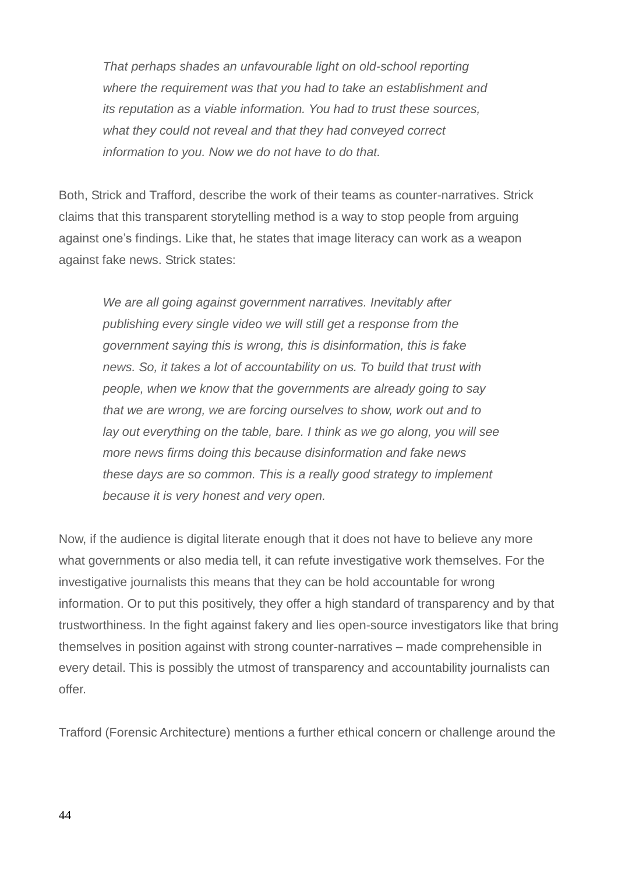*That perhaps shades an unfavourable light on old-school reporting where the requirement was that you had to take an establishment and its reputation as a viable information. You had to trust these sources, what they could not reveal and that they had conveyed correct information to you. Now we do not have to do that.* 

Both, Strick and Trafford, describe the work of their teams as counter-narratives. Strick claims that this transparent storytelling method is a way to stop people from arguing against one's findings. Like that, he states that image literacy can work as a weapon against fake news. Strick states:

*We are all going against government narratives. Inevitably after publishing every single video we will still get a response from the government saying this is wrong, this is disinformation, this is fake news. So, it takes a lot of accountability on us. To build that trust with people, when we know that the governments are already going to say that we are wrong, we are forcing ourselves to show, work out and to lay out everything on the table, bare. I think as we go along, you will see more news firms doing this because disinformation and fake news these days are so common. This is a really good strategy to implement because it is very honest and very open.* 

Now, if the audience is digital literate enough that it does not have to believe any more what governments or also media tell, it can refute investigative work themselves. For the investigative journalists this means that they can be hold accountable for wrong information. Or to put this positively, they offer a high standard of transparency and by that trustworthiness. In the fight against fakery and lies open-source investigators like that bring themselves in position against with strong counter-narratives – made comprehensible in every detail. This is possibly the utmost of transparency and accountability journalists can offer.

Trafford (Forensic Architecture) mentions a further ethical concern or challenge around the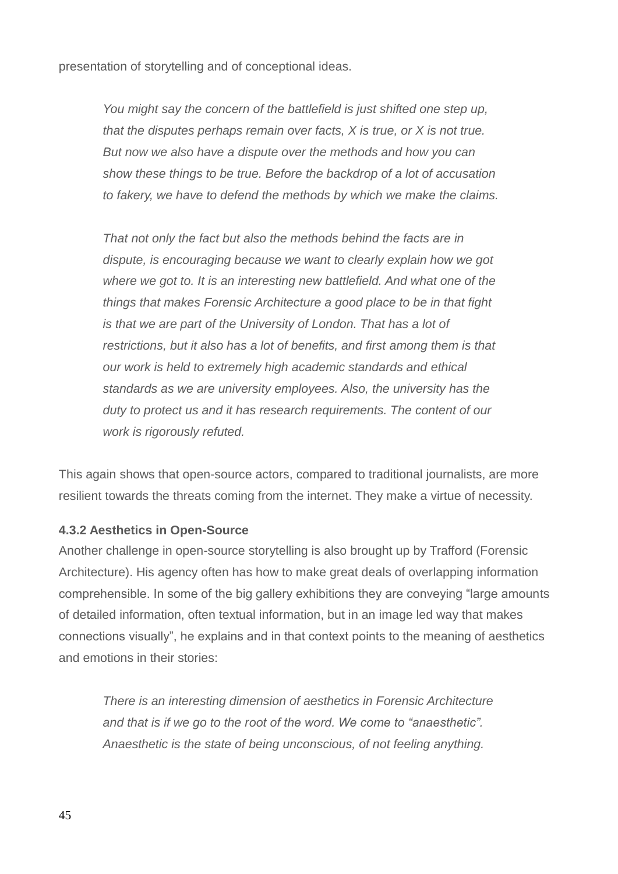presentation of storytelling and of conceptional ideas.

*You might say the concern of the battlefield is just shifted one step up, that the disputes perhaps remain over facts, X is true, or X is not true. But now we also have a dispute over the methods and how you can show these things to be true. Before the backdrop of a lot of accusation to fakery, we have to defend the methods by which we make the claims.* 

*That not only the fact but also the methods behind the facts are in dispute, is encouraging because we want to clearly explain how we got where we got to. It is an interesting new battlefield. And what one of the things that makes Forensic Architecture a good place to be in that fight is that we are part of the University of London. That has a lot of restrictions, but it also has a lot of benefits, and first among them is that our work is held to extremely high academic standards and ethical standards as we are university employees. Also, the university has the duty to protect us and it has research requirements. The content of our work is rigorously refuted.* 

This again shows that open-source actors, compared to traditional journalists, are more resilient towards the threats coming from the internet. They make a virtue of necessity.

### **4.3.2 Aesthetics in Open-Source**

Another challenge in open-source storytelling is also brought up by Trafford (Forensic Architecture). His agency often has how to make great deals of overlapping information comprehensible. In some of the big gallery exhibitions they are conveying "large amounts of detailed information, often textual information, but in an image led way that makes connections visually", he explains and in that context points to the meaning of aesthetics and emotions in their stories:

*There is an interesting dimension of aesthetics in Forensic Architecture and that is if we go to the root of the word. We come to "anaesthetic". Anaesthetic is the state of being unconscious, of not feeling anything.*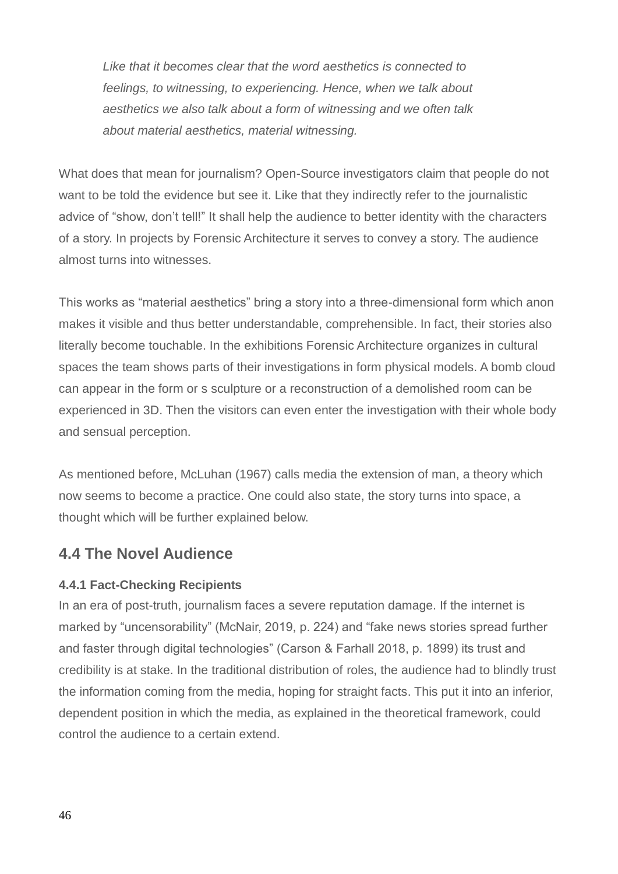*Like that it becomes clear that the word aesthetics is connected to feelings, to witnessing, to experiencing. Hence, when we talk about aesthetics we also talk about a form of witnessing and we often talk about material aesthetics, material witnessing.* 

What does that mean for journalism? Open-Source investigators claim that people do not want to be told the evidence but see it. Like that they indirectly refer to the journalistic advice of "show, don't tell!" It shall help the audience to better identity with the characters of a story. In projects by Forensic Architecture it serves to convey a story. The audience almost turns into witnesses.

This works as "material aesthetics" bring a story into a three-dimensional form which anon makes it visible and thus better understandable, comprehensible. In fact, their stories also literally become touchable. In the exhibitions Forensic Architecture organizes in cultural spaces the team shows parts of their investigations in form physical models. A bomb cloud can appear in the form or s sculpture or a reconstruction of a demolished room can be experienced in 3D. Then the visitors can even enter the investigation with their whole body and sensual perception.

As mentioned before, McLuhan (1967) calls media the extension of man, a theory which now seems to become a practice. One could also state, the story turns into space, a thought which will be further explained below.

### **4.4 The Novel Audience**

### **4.4.1 Fact-Checking Recipients**

In an era of post-truth, journalism faces a severe reputation damage. If the internet is marked by "uncensorability" (McNair, 2019, p. 224) and "fake news stories spread further and faster through digital technologies" (Carson & Farhall 2018, p. 1899) its trust and credibility is at stake. In the traditional distribution of roles, the audience had to blindly trust the information coming from the media, hoping for straight facts. This put it into an inferior, dependent position in which the media, as explained in the theoretical framework, could control the audience to a certain extend.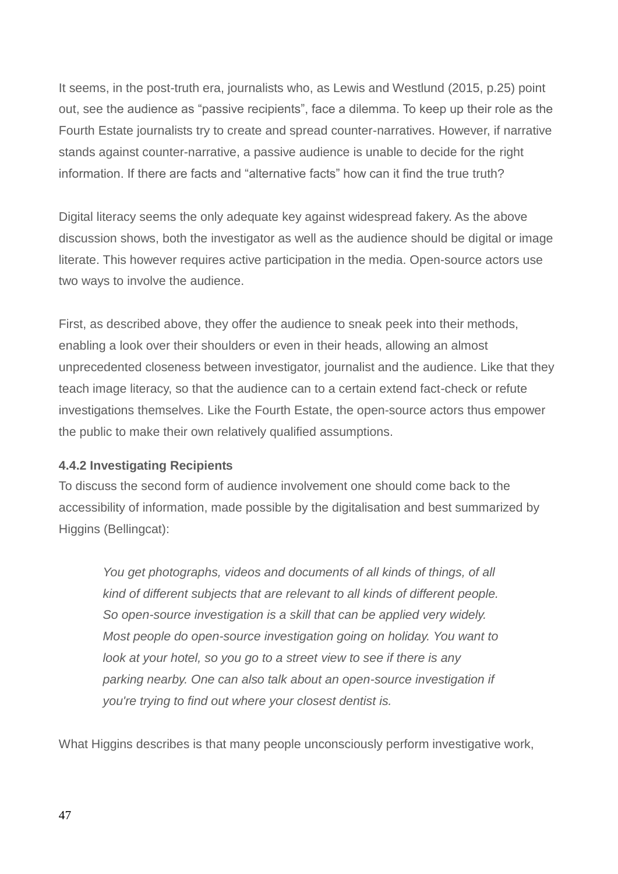It seems, in the post-truth era, journalists who, as Lewis and Westlund (2015, p.25) point out, see the audience as "passive recipients", face a dilemma. To keep up their role as the Fourth Estate journalists try to create and spread counter-narratives. However, if narrative stands against counter-narrative, a passive audience is unable to decide for the right information. If there are facts and "alternative facts" how can it find the true truth?

Digital literacy seems the only adequate key against widespread fakery. As the above discussion shows, both the investigator as well as the audience should be digital or image literate. This however requires active participation in the media. Open-source actors use two ways to involve the audience.

First, as described above, they offer the audience to sneak peek into their methods, enabling a look over their shoulders or even in their heads, allowing an almost unprecedented closeness between investigator, journalist and the audience. Like that they teach image literacy, so that the audience can to a certain extend fact-check or refute investigations themselves. Like the Fourth Estate, the open-source actors thus empower the public to make their own relatively qualified assumptions.

### **4.4.2 Investigating Recipients**

To discuss the second form of audience involvement one should come back to the accessibility of information, made possible by the digitalisation and best summarized by Higgins (Bellingcat):

*You get photographs, videos and documents of all kinds of things, of all kind of different subjects that are relevant to all kinds of different people. So open-source investigation is a skill that can be applied very widely. Most people do open-source investigation going on holiday. You want to look at your hotel, so you go to a street view to see if there is any parking nearby. One can also talk about an open-source investigation if you're trying to find out where your closest dentist is.* 

What Higgins describes is that many people unconsciously perform investigative work,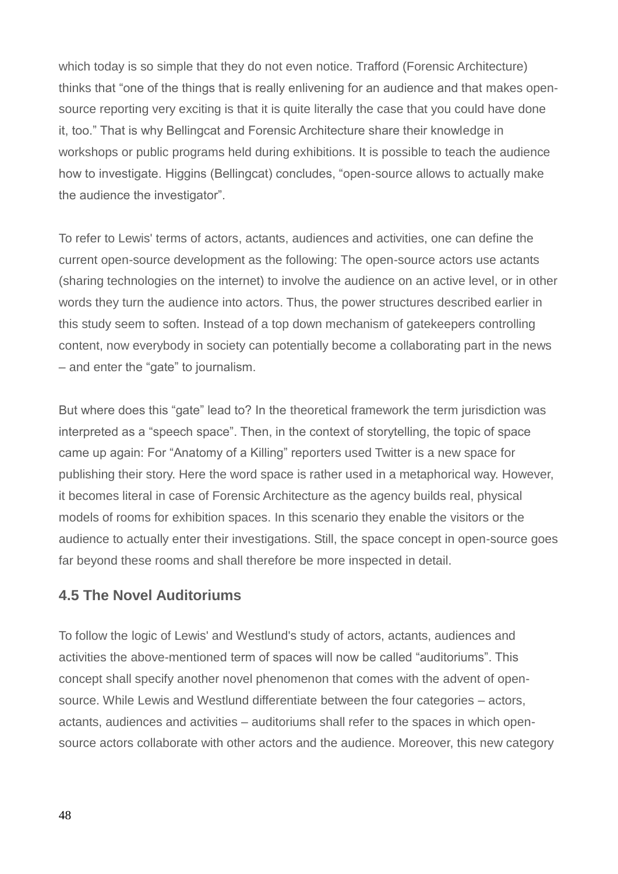which today is so simple that they do not even notice. Trafford (Forensic Architecture) thinks that "one of the things that is really enlivening for an audience and that makes opensource reporting very exciting is that it is quite literally the case that you could have done it, too." That is why Bellingcat and Forensic Architecture share their knowledge in workshops or public programs held during exhibitions. It is possible to teach the audience how to investigate. Higgins (Bellingcat) concludes, "open-source allows to actually make the audience the investigator".

To refer to Lewis' terms of actors, actants, audiences and activities, one can define the current open-source development as the following: The open-source actors use actants (sharing technologies on the internet) to involve the audience on an active level, or in other words they turn the audience into actors. Thus, the power structures described earlier in this study seem to soften. Instead of a top down mechanism of gatekeepers controlling content, now everybody in society can potentially become a collaborating part in the news – and enter the "gate" to journalism.

But where does this "gate" lead to? In the theoretical framework the term jurisdiction was interpreted as a "speech space". Then, in the context of storytelling, the topic of space came up again: For "Anatomy of a Killing" reporters used Twitter is a new space for publishing their story. Here the word space is rather used in a metaphorical way. However, it becomes literal in case of Forensic Architecture as the agency builds real, physical models of rooms for exhibition spaces. In this scenario they enable the visitors or the audience to actually enter their investigations. Still, the space concept in open-source goes far beyond these rooms and shall therefore be more inspected in detail.

### **4.5 The Novel Auditoriums**

To follow the logic of Lewis' and Westlund's study of actors, actants, audiences and activities the above-mentioned term of spaces will now be called "auditoriums". This concept shall specify another novel phenomenon that comes with the advent of opensource. While Lewis and Westlund differentiate between the four categories – actors, actants, audiences and activities – auditoriums shall refer to the spaces in which opensource actors collaborate with other actors and the audience. Moreover, this new category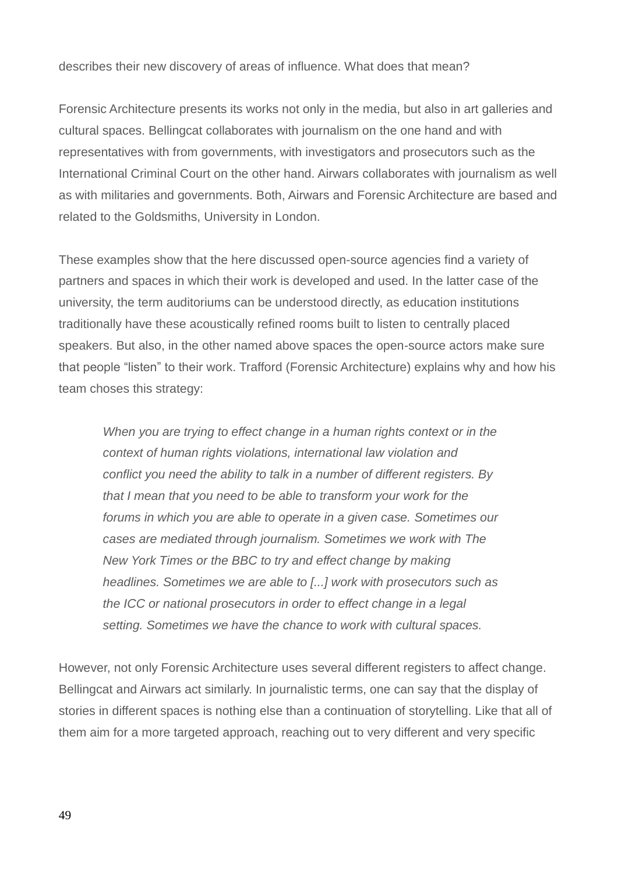describes their new discovery of areas of influence. What does that mean?

Forensic Architecture presents its works not only in the media, but also in art galleries and cultural spaces. Bellingcat collaborates with journalism on the one hand and with representatives with from governments, with investigators and prosecutors such as the International Criminal Court on the other hand. Airwars collaborates with journalism as well as with militaries and governments. Both, Airwars and Forensic Architecture are based and related to the Goldsmiths, University in London.

These examples show that the here discussed open-source agencies find a variety of partners and spaces in which their work is developed and used. In the latter case of the university, the term auditoriums can be understood directly, as education institutions traditionally have these acoustically refined rooms built to listen to centrally placed speakers. But also, in the other named above spaces the open-source actors make sure that people "listen" to their work. Trafford (Forensic Architecture) explains why and how his team choses this strategy:

*When you are trying to effect change in a human rights context or in the context of human rights violations, international law violation and conflict you need the ability to talk in a number of different registers. By that I mean that you need to be able to transform your work for the forums in which you are able to operate in a given case. Sometimes our cases are mediated through journalism. Sometimes we work with The New York Times or the BBC to try and effect change by making headlines. Sometimes we are able to [...] work with prosecutors such as the ICC or national prosecutors in order to effect change in a legal setting. Sometimes we have the chance to work with cultural spaces.* 

However, not only Forensic Architecture uses several different registers to affect change. Bellingcat and Airwars act similarly. In journalistic terms, one can say that the display of stories in different spaces is nothing else than a continuation of storytelling. Like that all of them aim for a more targeted approach, reaching out to very different and very specific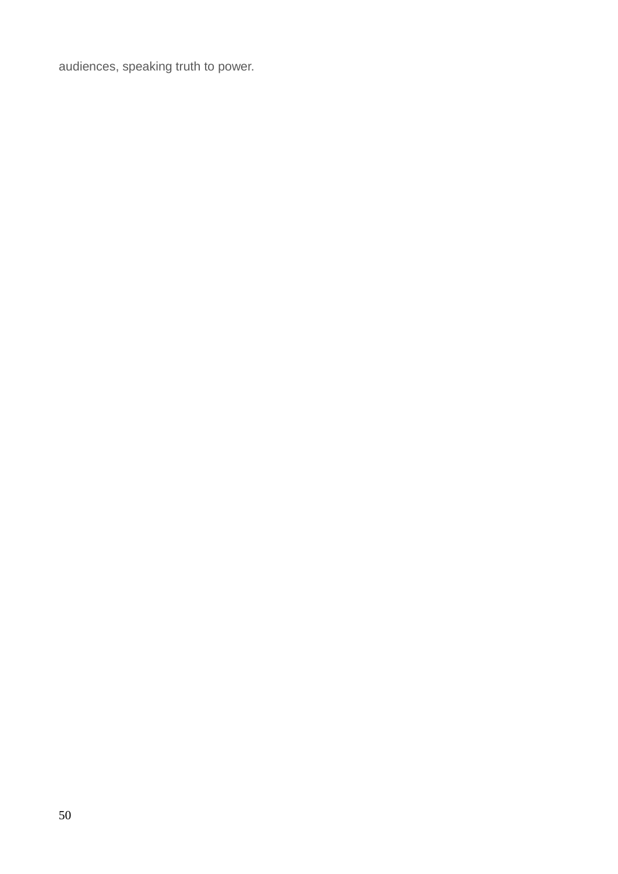audiences, speaking truth to power.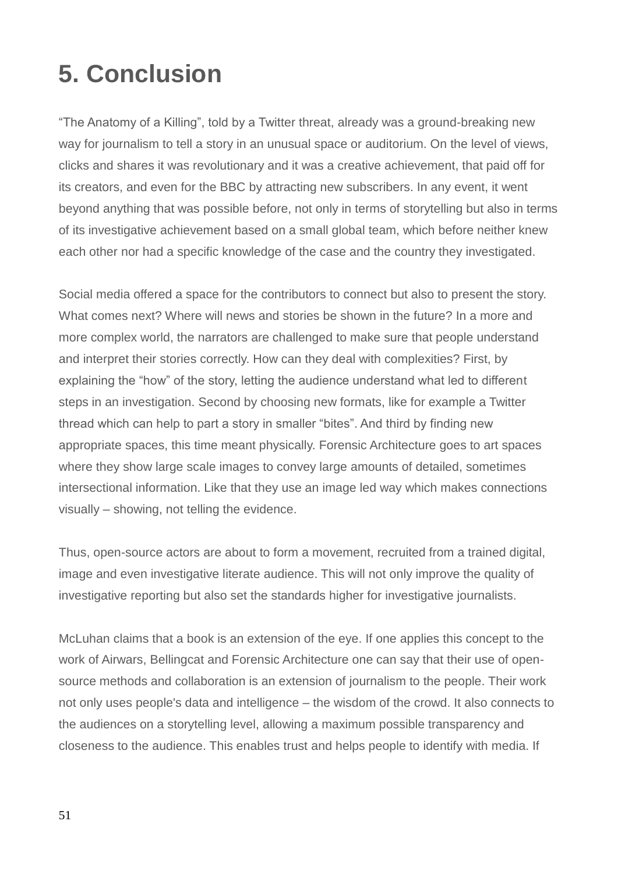### **5. Conclusion**

"The Anatomy of a Killing", told by a Twitter threat, already was a ground-breaking new way for journalism to tell a story in an unusual space or auditorium. On the level of views, clicks and shares it was revolutionary and it was a creative achievement, that paid off for its creators, and even for the BBC by attracting new subscribers. In any event, it went beyond anything that was possible before, not only in terms of storytelling but also in terms of its investigative achievement based on a small global team, which before neither knew each other nor had a specific knowledge of the case and the country they investigated.

Social media offered a space for the contributors to connect but also to present the story. What comes next? Where will news and stories be shown in the future? In a more and more complex world, the narrators are challenged to make sure that people understand and interpret their stories correctly. How can they deal with complexities? First, by explaining the "how" of the story, letting the audience understand what led to different steps in an investigation. Second by choosing new formats, like for example a Twitter thread which can help to part a story in smaller "bites". And third by finding new appropriate spaces, this time meant physically. Forensic Architecture goes to art spaces where they show large scale images to convey large amounts of detailed, sometimes intersectional information. Like that they use an image led way which makes connections visually – showing, not telling the evidence.

Thus, open-source actors are about to form a movement, recruited from a trained digital, image and even investigative literate audience. This will not only improve the quality of investigative reporting but also set the standards higher for investigative journalists.

McLuhan claims that a book is an extension of the eye. If one applies this concept to the work of Airwars, Bellingcat and Forensic Architecture one can say that their use of opensource methods and collaboration is an extension of journalism to the people. Their work not only uses people's data and intelligence – the wisdom of the crowd. It also connects to the audiences on a storytelling level, allowing a maximum possible transparency and closeness to the audience. This enables trust and helps people to identify with media. If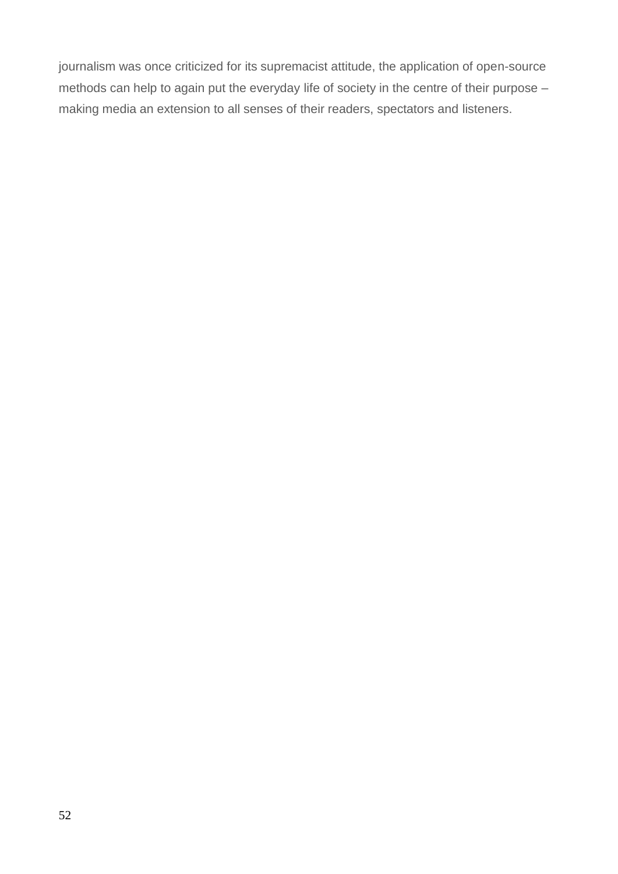journalism was once criticized for its supremacist attitude, the application of open-source methods can help to again put the everyday life of society in the centre of their purpose – making media an extension to all senses of their readers, spectators and listeners.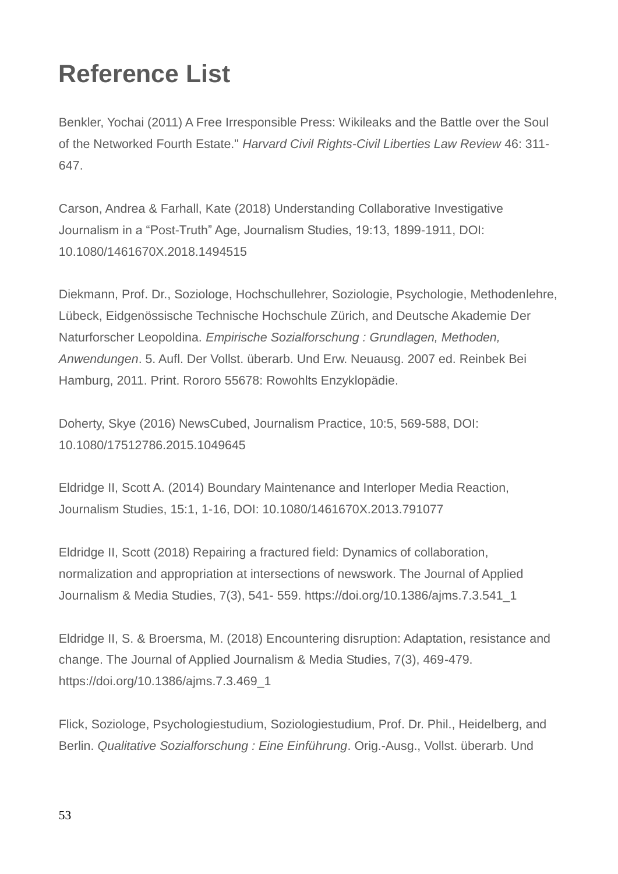### **Reference List**

Benkler, Yochai (2011) A Free Irresponsible Press: Wikileaks and the Battle over the Soul of the Networked Fourth Estate." *Harvard Civil Rights-Civil Liberties Law Review* 46: 311- 647.

Carson, Andrea & Farhall, Kate (2018) Understanding Collaborative Investigative Journalism in a "Post-Truth" Age, Journalism Studies, 19:13, 1899-1911, DOI: 10.1080/1461670X.2018.1494515

Diekmann, Prof. Dr., Soziologe, Hochschullehrer, Soziologie, Psychologie, Methodenlehre, Lübeck, Eidgenössische Technische Hochschule Zürich, and Deutsche Akademie Der Naturforscher Leopoldina. *Empirische Sozialforschung : Grundlagen, Methoden, Anwendungen*. 5. Aufl. Der Vollst. überarb. Und Erw. Neuausg. 2007 ed. Reinbek Bei Hamburg, 2011. Print. Rororo 55678: Rowohlts Enzyklopädie.

Doherty, Skye (2016) NewsCubed, Journalism Practice, 10:5, 569-588, DOI: 10.1080/17512786.2015.1049645

Eldridge II, Scott A. (2014) Boundary Maintenance and Interloper Media Reaction, Journalism Studies, 15:1, 1-16, DOI: 10.1080/1461670X.2013.791077

Eldridge II, Scott (2018) Repairing a fractured field: Dynamics of collaboration, normalization and appropriation at intersections of newswork. The Journal of Applied Journalism & Media Studies, 7(3), 541- 559. https://doi.org/10.1386/ajms.7.3.541\_1

Eldridge II, S. & Broersma, M. (2018) Encountering disruption: Adaptation, resistance and change. The Journal of Applied Journalism & Media Studies, 7(3), 469-479. https://doi.org/10.1386/ajms.7.3.469\_1

Flick, Soziologe, Psychologiestudium, Soziologiestudium, Prof. Dr. Phil., Heidelberg, and Berlin. *Qualitative Sozialforschung : Eine Einführung*. Orig.-Ausg., Vollst. überarb. Und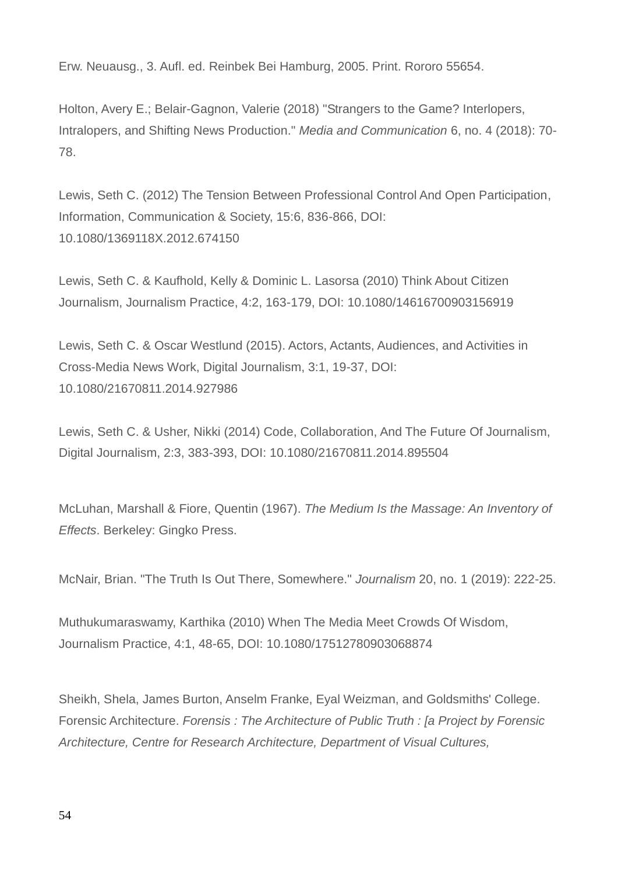Erw. Neuausg., 3. Aufl. ed. Reinbek Bei Hamburg, 2005. Print. Rororo 55654.

Holton, Avery E.; Belair-Gagnon, Valerie (2018) "Strangers to the Game? Interlopers, Intralopers, and Shifting News Production." *Media and Communication* 6, no. 4 (2018): 70- 78.

Lewis, Seth C. (2012) The Tension Between Professional Control And Open Participation, Information, Communication & Society, 15:6, 836-866, DOI: 10.1080/1369118X.2012.674150

Lewis, Seth C. & Kaufhold, Kelly & Dominic L. Lasorsa (2010) Think About Citizen Journalism, Journalism Practice, 4:2, 163-179, DOI: 10.1080/14616700903156919

Lewis, Seth C. & Oscar Westlund (2015). Actors, Actants, Audiences, and Activities in Cross-Media News Work, Digital Journalism, 3:1, 19-37, DOI: 10.1080/21670811.2014.927986

Lewis, Seth C. & Usher, Nikki (2014) Code, Collaboration, And The Future Of Journalism, Digital Journalism, 2:3, 383-393, DOI: 10.1080/21670811.2014.895504

McLuhan, Marshall & Fiore, Quentin (1967). *The Medium Is the Massage: An Inventory of Effects*. Berkeley: Gingko Press.

McNair, Brian. "The Truth Is Out There, Somewhere." *Journalism* 20, no. 1 (2019): 222-25.

Muthukumaraswamy, Karthika (2010) When The Media Meet Crowds Of Wisdom, Journalism Practice, 4:1, 48-65, DOI: 10.1080/17512780903068874

Sheikh, Shela, James Burton, Anselm Franke, Eyal Weizman, and Goldsmiths' College. Forensic Architecture. *Forensis : The Architecture of Public Truth : [a Project by Forensic Architecture, Centre for Research Architecture, Department of Visual Cultures,*